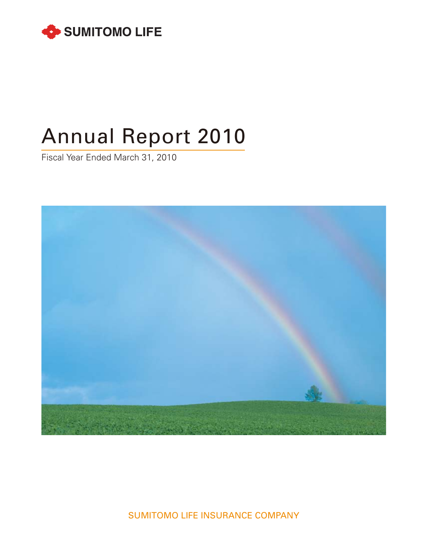

# Annual Report 2010

Fiscal Year Ended March 31, 2010



SUMITOMO LIFE INSURANCE COMPANY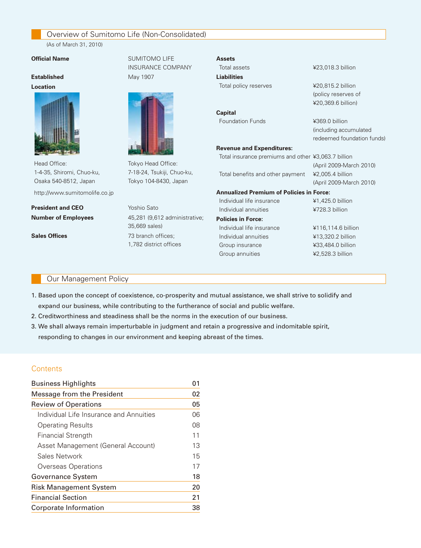# Overview of Sumitomo Life (Non-Consolidated)

 (As of March 31, 2010)

#### **Official Name** SUMITOMO LIFE

#### **Established** May 1907

#### **Location**



Head Office: Tokyo Head Office: 1-4-35, Shiromi, Chuo-ku, 7-18-24, Tsukiji, Chuo-ku, Osaka 540-8512, Japan Tokyo 104-8430, Japan http://www.sumitomolife.co.jp

**President and CEO** Yoshio Sato





**Number of Employees** 45,281 (9,612 administrative; 35,669 sales) **Sales Offices** 73 branch offices: 1,782 district offices

#### **Assets**

Total assets **¥23,018.3 billion Liabilities** Total policy reserves <br>
¥20,815.2 billion **Capital** Foundation Funds **¥369.0 billion** 

#### **Revenue and Expenditures:**

Total benefits and other payment ¥2,005.4 billion

#### **Annualized Premium of Policies in Force:**

Individual life insurance  $\frac{1}{4}$ ,425.0 billion Individual annuities **¥728.3** billion

#### **Policies in Force:**

Individual life insurance ¥116,114.6 billion Individual annuities ¥13,320.2 billion Group insurance  $\frac{433,484.0 \text{ billion}}{433}$ Group annuities  $\angle$  42,528.3 billion

(policy reserves of ¥20,369.6 billion)

(including accumulated redeemed foundation funds)

Total insurance premiums and other ¥3,063.7 billion (April 2009-March 2010) (April 2009-March 2010)

#### Our Management Policy

- 1. Based upon the concept of coexistence, co-prosperity and mutual assistance, we shall strive to solidify and expand our business, while contributing to the furtherance of social and public welfare.
- 2. Creditworthiness and steadiness shall be the norms in the execution of our business.
- 3. We shall always remain imperturbable in judgment and retain a progressive and indomitable spirit, responding to changes in our environment and keeping abreast of the times.

#### **Contents**

| <b>Business Highlights</b>              | 01 |
|-----------------------------------------|----|
| Message from the President              | 02 |
| <b>Review of Operations</b>             | 05 |
| Individual Life Insurance and Annuities | 06 |
| <b>Operating Results</b>                | 08 |
| <b>Financial Strength</b>               | 11 |
| Asset Management (General Account)      | 13 |
| Sales Network                           | 15 |
| Overseas Operations                     | 17 |
| Governance System                       | 18 |
| <b>Risk Management System</b>           | 20 |
| <b>Financial Section</b>                | 21 |
| Corporate Information                   | 38 |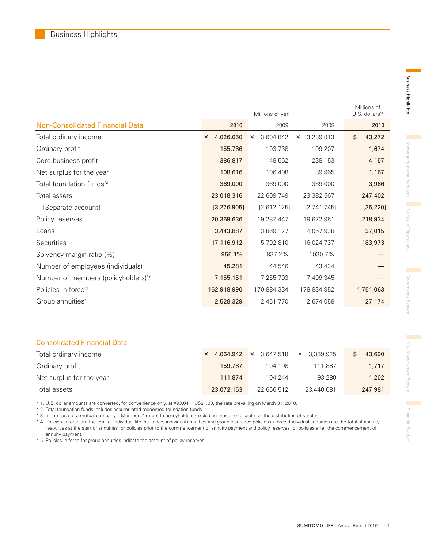|                                        |                | Millions of<br>U.S. dollars*1 |                |              |
|----------------------------------------|----------------|-------------------------------|----------------|--------------|
| <b>Non-Consolidated Financial Data</b> | 2010           | 2009                          | 2008           | 2010         |
| Total ordinary income                  | 4,026,050<br>¥ | 3,604,842<br>¥                | 3,289,813<br>¥ | \$<br>43,272 |
| Ordinary profit                        | 155,786        | 103,738                       | 109,207        | 1,674        |
| Core business profit                   | 386,817        | 148,562                       | 238,153        | 4,157        |
| Net surplus for the year               | 108,616        | 106,408                       | 89,965         | 1,167        |
| Total foundation funds* <sup>2</sup>   | 369,000        | 369,000                       | 369,000        | 3,966        |
| Total assets                           | 23,018,316     | 22,609,749                    | 23,382,567     | 247,402      |
| [Separate account]                     | [3, 276, 905]  | [2,612,125]                   | [2,741,745]    | [35, 220]    |
| Policy reserves                        | 20,369,636     | 19,287,447                    | 19,672,951     | 218,934      |
| Loans                                  | 3,443,887      | 3,869,177                     | 4,057,938      | 37,015       |
| Securities                             | 17,116,912     | 15,792,810                    | 16,024,737     | 183,973      |
| Solvency margin ratio (%)              | 955.1%         | 837.2%                        | 1030.7%        |              |
| Number of employees (individuals)      | 45,281         | 44,546                        | 43,434         |              |
| Number of members (policyholders)*3    | 7,155,151      | 7,255,703                     | 7,409,345      |              |
| Policies in force <sup>*4</sup>        | 162,918,990    | 170,884,334                   | 178,834,952    | 1,751,063    |
| Group annuities*5                      | 2,528,329      | 2,451,770                     | 2,674,058      | 27,174       |

#### Consolidated Financial Data

| Total ordinary income    | 4,064,942  |            | ¥ 3.339.925 | 43,690  |
|--------------------------|------------|------------|-------------|---------|
| Ordinary profit          | 159,787    | 104.198    | 111.887     | 1,717   |
| Net surplus for the year | 111.874    | 104.244    | 93.280      | 1,202   |
| Total assets             | 23,072,153 | 22,666,512 | 23,440,081  | 247,981 |

\* 1. U.S. dollar amounts are converted, for convenience only, at ¥93.04 = US\$1.00, the rate prevailing on March 31, 2010.

\* 2. Total foundation funds includes accumulated redeemed foundation funds.

\* 3. In the case of a mutual company, "Members" refers to policyholders (excluding those not eligible for the distribution of surplus).

\* 4. Policies in force are the total of individual life insurance, individual annuities and group insurance policies in force. Individual annuities are the total of annuity resources at the start of annuities for policies prior to the commencement of annuity payment and policy reserves for policies after the commencement of annuity payment.

\* 5. Policies in force for group annuities indicate the amount of policy reserves.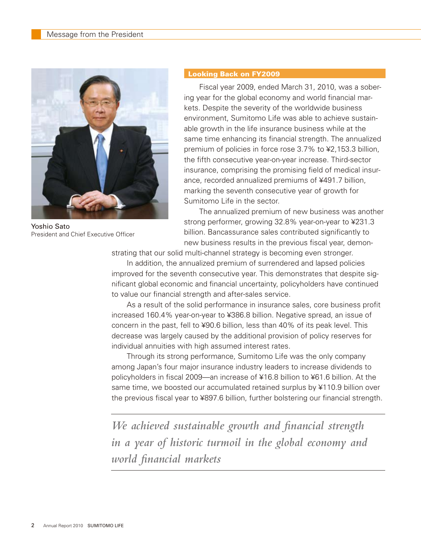

Yoshio Sato President and Chief Executive Officer

#### Looking Back on FY2009

 Fiscal year 2009, ended March 31, 2010, was a sobering year for the global economy and world financial markets. Despite the severity of the worldwide business environment, Sumitomo Life was able to achieve sustainable growth in the life insurance business while at the same time enhancing its financial strength. The annualized premium of policies in force rose 3.7% to ¥2,153.3 billion, the fifth consecutive year-on-year increase. Third-sector insurance, comprising the promising field of medical insurance, recorded annualized premiums of ¥491.7 billion, marking the seventh consecutive year of growth for Sumitomo Life in the sector.

 The annualized premium of new business was another strong performer, growing 32.8% year-on-year to ¥231.3 billion. Bancassurance sales contributed significantly to new business results in the previous fiscal year, demon-

strating that our solid multi-channel strategy is becoming even stronger.

 In addition, the annualized premium of surrendered and lapsed policies improved for the seventh consecutive year. This demonstrates that despite significant global economic and financial uncertainty, policyholders have continued to value our financial strength and after-sales service.

 As a result of the solid performance in insurance sales, core business profit increased 160.4% year-on-year to ¥386.8 billion. Negative spread, an issue of concern in the past, fell to ¥90.6 billion, less than 40% of its peak level. This decrease was largely caused by the additional provision of policy reserves for individual annuities with high assumed interest rates.

 Through its strong performance, Sumitomo Life was the only company among Japan's four major insurance industry leaders to increase dividends to policyholders in fiscal 2009—an increase of ¥16.8 billion to ¥61.6 billion. At the same time, we boosted our accumulated retained surplus by ¥110.9 billion over the previous fiscal year to ¥897.6 billion, further bolstering our financial strength.

*We achieved sustainable growth and financial strength in a year of historic turmoil in the global economy and world financial markets*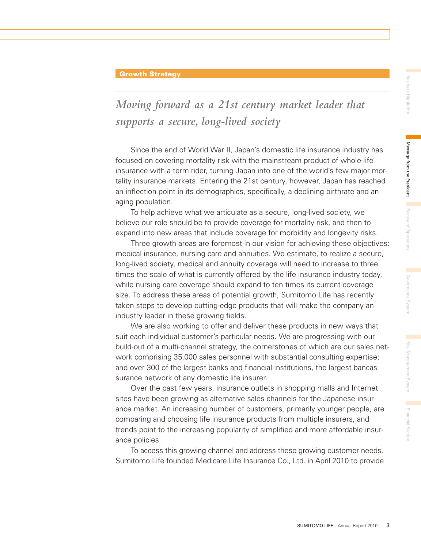#### Growth Strategy

*Moving forward as a 21st century market leader that supports a secure, long-lived society*

 Since the end of World War II, Japan's domestic life insurance industry has focused on covering mortality risk with the mainstream product of whole-life insurance with a term rider, turning Japan into one of the world's few major mortality insurance markets. Entering the 21st century, however, Japan has reached an inflection point in its demographics, specifically, a declining birthrate and an aging population.

 To help achieve what we articulate as a secure, long-lived society, we believe our role should be to provide coverage for mortality risk, and then to expand into new areas that include coverage for morbidity and longevity risks.

 Three growth areas are foremost in our vision for achieving these objectives: medical insurance, nursing care and annuities. We estimate, to realize a secure, long-lived society, medical and annuity coverage will need to increase to three times the scale of what is currently offered by the life insurance industry today, while nursing care coverage should expand to ten times its current coverage size. To address these areas of potential growth, Sumitomo Life has recently taken steps to develop cutting-edge products that will make the company an industry leader in these growing fields.

 We are also working to offer and deliver these products in new ways that suit each individual customer's particular needs. We are progressing with our build-out of a multi-channel strategy, the cornerstones of which are our sales network comprising 35,000 sales personnel with substantial consulting expertise; and over 300 of the largest banks and financial institutions, the largest bancassurance network of any domestic life insurer.

 Over the past few years, insurance outlets in shopping malls and Internet sites have been growing as alternative sales channels for the Japanese insurance market. An increasing number of customers, primarily younger people, are comparing and choosing life insurance products from multiple insurers, and trends point to the increasing popularity of simplified and more affordable insurance policies.

 To access this growing channel and address these growing customer needs, Sumitomo Life founded Medicare Life Insurance Co., Ltd. in April 2010 to provide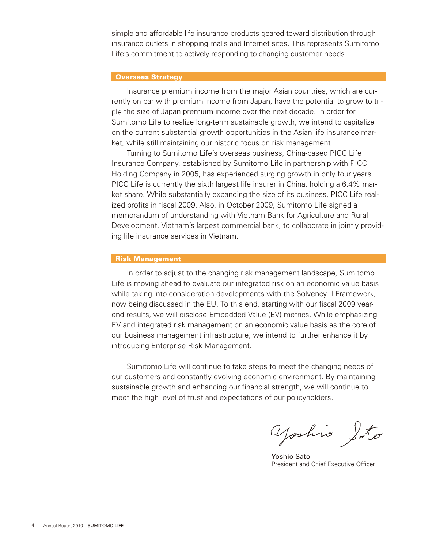simple and affordable life insurance products geared toward distribution through insurance outlets in shopping malls and Internet sites. This represents Sumitomo Life's commitment to actively responding to changing customer needs.

#### Overseas Strategy

 Insurance premium income from the major Asian countries, which are currently on par with premium income from Japan, have the potential to grow to triple the size of Japan premium income over the next decade. In order for Sumitomo Life to realize long-term sustainable growth, we intend to capitalize on the current substantial growth opportunities in the Asian life insurance market, while still maintaining our historic focus on risk management.

 Turning to Sumitomo Life's overseas business, China-based PICC Life Insurance Company, established by Sumitomo Life in partnership with PICC Holding Company in 2005, has experienced surging growth in only four years. PICC Life is currently the sixth largest life insurer in China, holding a 6.4% market share. While substantially expanding the size of its business, PICC Life realized profits in fiscal 2009. Also, in October 2009, Sumitomo Life signed a memorandum of understanding with Vietnam Bank for Agriculture and Rural Development, Vietnam's largest commercial bank, to collaborate in jointly providing life insurance services in Vietnam.

#### Risk Management

 In order to adjust to the changing risk management landscape, Sumitomo Life is moving ahead to evaluate our integrated risk on an economic value basis while taking into consideration developments with the Solvency II Framework, now being discussed in the EU. To this end, starting with our fiscal 2009 yearend results, we will disclose Embedded Value (EV) metrics. While emphasizing EV and integrated risk management on an economic value basis as the core of our business management infrastructure, we intend to further enhance it by introducing Enterprise Risk Management.

 Sumitomo Life will continue to take steps to meet the changing needs of our customers and constantly evolving economic environment. By maintaining sustainable growth and enhancing our financial strength, we will continue to meet the high level of trust and expectations of our policyholders.

yoshis Soto

Yoshio Sato President and Chief Executive Officer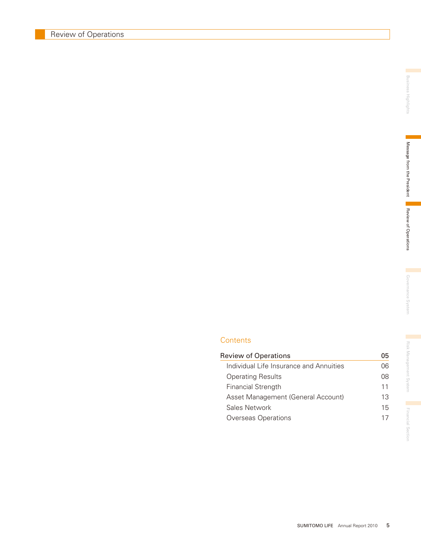**Contents** 

| <b>Review of Operations</b>             | 05 |
|-----------------------------------------|----|
| Individual Life Insurance and Annuities | 06 |
| <b>Operating Results</b>                | 08 |
| <b>Financial Strength</b>               | 11 |
| Asset Management (General Account)      | 13 |
| Sales Network                           | 15 |
| Overseas Operations                     |    |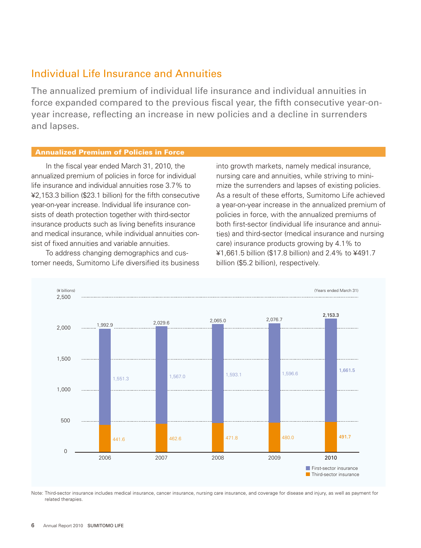### Individual Life Insurance and Annuities

The annualized premium of individual life insurance and individual annuities in force expanded compared to the previous fiscal year, the fifth consecutive year-onyear increase, reflecting an increase in new policies and a decline in surrenders and lapses.

#### Annualized Premium of Policies in Force

 In the fiscal year ended March 31, 2010, the annualized premium of policies in force for individual life insurance and individual annuities rose 3.7% to ¥2,153.3 billion (\$23.1 billion) for the fifth consecutive year-on-year increase. Individual life insurance consists of death protection together with third-sector insurance products such as living benefits insurance and medical insurance, while individual annuities consist of fixed annuities and variable annuities.

 To address changing demographics and customer needs, Sumitomo Life diversified its business into growth markets, namely medical insurance, nursing care and annuities, while striving to minimize the surrenders and lapses of existing policies. As a result of these efforts, Sumitomo Life achieved a year-on-year increase in the annualized premium of policies in force, with the annualized premiums of both first-sector (individual life insurance and annuities) and third-sector (medical insurance and nursing care) insurance products growing by 4.1% to ¥1,661.5 billion (\$17.8 billion) and 2.4% to ¥491.7 billion (\$5.2 billion), respectively.



Note: Third-sector insurance includes medical insurance, cancer insurance, nursing care insurance, and coverage for disease and injury, as well as payment for related therapies.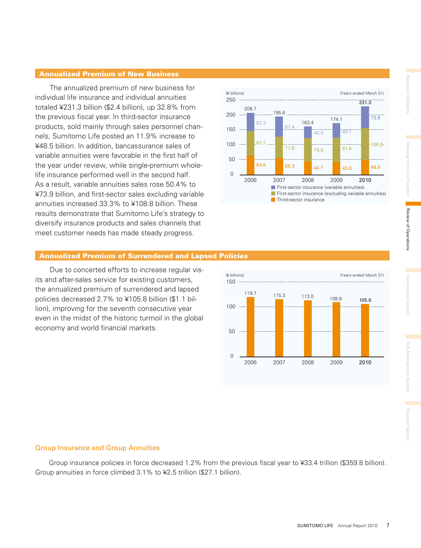#### Annualized Premium of New Business

 The annualized premium of new business for individual life insurance and individual annuities totaled ¥231.3 billion (\$2.4 billion), up 32.8% from the previous fiscal year. In third-sector insurance products, sold mainly through sales personnel channels, Sumitomo Life posted an 11.9% increase to ¥48.5 billion. In addition, bancassurance sales of variable annuities were favorable in the first half of the year under review, while single-premium wholelife insurance performed well in the second half. As a result, variable annuities sales rose 50.4% to ¥73.9 billion, and first-sector sales excluding variable annuities increased 33.3% to ¥108.8 billion. These results demonstrate that Sumitomo Life's strategy to diversify insurance products and sales channels that meet customer needs has made steady progress.



#### Annualized Premium of Surrendered and Lapsed Policies

 Due to concerted efforts to increase regular visits and after-sales service for existing customers, the annualized premium of surrendered and lapsed policies decreased 2.7% to ¥105.8 billion (\$1.1 billion), improving for the seventh consecutive year even in the midst of the historic turmoil in the global economy and world financial markets.



#### Group Insurance and Group Annuities

 Group insurance policies in force decreased 1.2% from the previous fiscal year to ¥33.4 trillion (\$359.8 billion). Group annuities in force climbed 3.1% to ¥2.5 trillion (\$27.1 billion).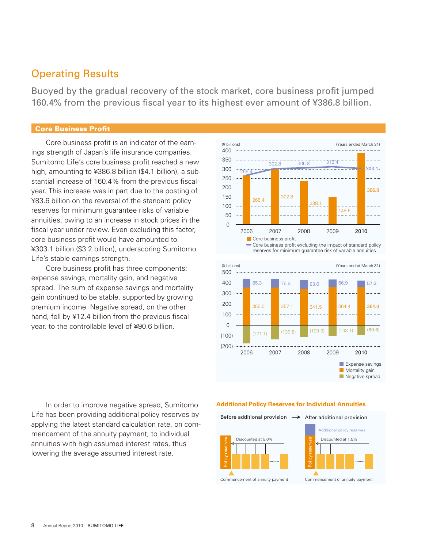### Operating Results

Buoyed by the gradual recovery of the stock market, core business profit jumped 160.4% from the previous fiscal year to its highest ever amount of ¥386.8 billion.

#### Core Business Profit

 Core business profit is an indicator of the earnings strength of Japan's life insurance companies. Sumitomo Life's core business profit reached a new high, amounting to ¥386.8 billion (\$4.1 billion), a substantial increase of 160.4% from the previous fiscal year. This increase was in part due to the posting of ¥83.6 billion on the reversal of the standard policy reserves for minimum guarantee risks of variable annuities, owing to an increase in stock prices in the fiscal year under review. Even excluding this factor, core business profit would have amounted to ¥303.1 billion (\$3.2 billion), underscoring Sumitomo Life's stable earnings strength.

 Core business profit has three components: expense savings, mortality gain, and negative spread. The sum of expense savings and mortality gain continued to be stable, supported by growing premium income. Negative spread, on the other hand, fell by ¥12.4 billion from the previous fiscal year, to the controllable level of ¥90.6 billion.





 In order to improve negative spread, Sumitomo Life has been providing additional policy reserves by applying the latest standard calculation rate, on commencement of the annuity payment, to individual annuities with high assumed interest rates, thus lowering the average assumed interest rate.

#### **Additional Policy Reserves for Individual Annuities**

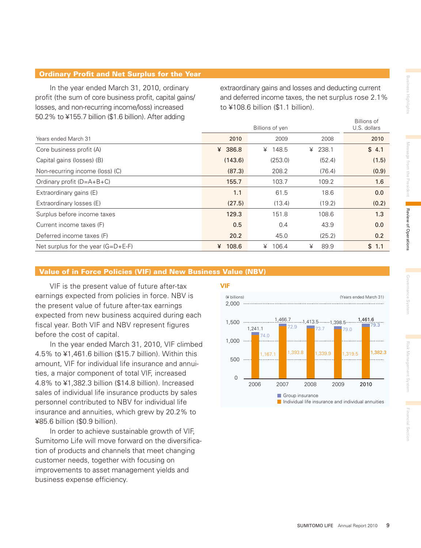#### Ordinary Profit and Net Surplus for the Year

 In the year ended March 31, 2010, ordinary profit (the sum of core business profit, capital gains/ losses, and non-recurring income/loss) increased 50.2% to ¥155.7 billion (\$1.6 billion). After adding

extraordinary gains and losses and deducting current and deferred income taxes, the net surplus rose 2.1% to ¥108.6 billion (\$1.1 billion).

| $0.2$ 70 to $+100.7$ billion ( $\psi$ 1.0 billion). Arter duding |            |            | Billions of<br>U.S. dollars |       |
|------------------------------------------------------------------|------------|------------|-----------------------------|-------|
| Years ended March 31                                             | 2010       | 2009       | 2008                        | 2010  |
| Core business profit (A)                                         | 386.8<br>¥ | 148.5<br>¥ | ¥ 238.1                     | \$4.1 |
| Capital gains (losses) (B)                                       | (143.6)    | (253.0)    | (52.4)                      | (1.5) |
| Non-recurring income (loss) (C)                                  | (87.3)     | 208.2      | (76.4)                      | (0.9) |
| Ordinary profit $(D=A+B+C)$                                      | 155.7      | 103.7      | 109.2                       | 1.6   |
| Extraordinary gains (E)                                          | 1.1        | 61.5       | 18.6                        | 0.0   |
| Extraordinary losses (E)                                         | (27.5)     | (13.4)     | (19.2)                      | (0.2) |
| Surplus before income taxes                                      | 129.3      | 151.8      | 108.6                       | 1.3   |
| Current income taxes (F)                                         | 0.5        | 0.4        | 43.9                        | 0.0   |
| Deferred income taxes (F)                                        | 20.2       | 45.0       | (25.2)                      | 0.2   |
| Net surplus for the year $(G=D+E-F)$                             | 108.6<br>¥ | 106.4<br>¥ | ¥<br>89.9                   | \$1.1 |

#### Value of in Force Policies (VIF) and New Business Value (NBV)

 VIF is the present value of future after-tax earnings expected from policies in force. NBV is the present value of future after-tax earnings expected from new business acquired during each fiscal year. Both VIF and NBV represent figures before the cost of capital.

 In the year ended March 31, 2010, VIF climbed 4.5% to ¥1,461.6 billion (\$15.7 billion). Within this amount, VIF for individual life insurance and annuities, a major component of total VIF, increased 4.8% to ¥1,382.3 billion (\$14.8 billion). Increased sales of individual life insurance products by sales personnel contributed to NBV for individual life insurance and annuities, which grew by 20.2% to ¥85.6 billion (\$0.9 billion).

 In order to achieve sustainable growth of VIF, Sumitomo Life will move forward on the diversification of products and channels that meet changing customer needs, together with focusing on improvements to asset management yields and business expense efficiency.

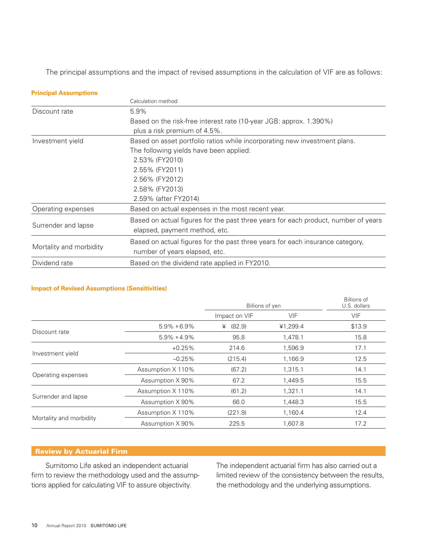The principal assumptions and the impact of revised assumptions in the calculation of VIF are as follows:

| <b>Principal Assumptions</b> |                                                                                    |
|------------------------------|------------------------------------------------------------------------------------|
|                              | Calculation method                                                                 |
| Discount rate                | 5.9%                                                                               |
|                              | Based on the risk-free interest rate (10-year JGB: approx. 1.390%)                 |
|                              | plus a risk premium of 4.5%.                                                       |
| Investment yield             | Based on asset portfolio ratios while incorporating new investment plans.          |
|                              | The following yields have been applied:                                            |
|                              | 2.53% (FY2010)                                                                     |
|                              | 2.55% (FY2011)                                                                     |
|                              | 2.56% (FY2012)                                                                     |
|                              | 2.58% (FY2013)                                                                     |
|                              | 2.59% (after FY2014)                                                               |
| Operating expenses           | Based on actual expenses in the most recent year.                                  |
|                              | Based on actual figures for the past three years for each product, number of years |
| Surrender and lapse          | elapsed, payment method, etc.                                                      |
|                              | Based on actual figures for the past three years for each insurance category,      |
| Mortality and morbidity      | number of years elapsed, etc.                                                      |
| Dividend rate                | Based on the dividend rate applied in FY2010.                                      |

### Impact of Revised Assumptions (Sensitivities)<br> **Impact of Revised Assumptions (Sensitivities**)

|                         |                      | Billions of yen |            | <b>Billions of</b><br>U.S. dollars |
|-------------------------|----------------------|-----------------|------------|------------------------------------|
|                         |                      | Impact on VIF   | <b>VIF</b> | VIF                                |
|                         | $5.9\% \times 6.9\%$ | (82.9)<br>¥     | ¥1,299.4   | \$13.9                             |
| Discount rate           | $5.9\% \times 4.9\%$ | 95.8            | 1,478.1    | 15.8                               |
| Investment yield        | $+0.25%$             | 214.6           | 1,596.9    | 17.1                               |
|                         | $-0.25%$             | (215.4)         | 1,166.9    | 12.5                               |
|                         | Assumption X 110%    | (67.2)          | 1,315.1    | 14.1                               |
| Operating expenses      | Assumption X 90%     | 67.2            | 1,449.5    | 15.5                               |
|                         | Assumption X 110%    | (61.2)          | 1,321.1    | 14.1                               |
| Surrender and lapse     | Assumption X 90%     | 66.0            | 1,448.3    | 15.5                               |
|                         | Assumption X 110%    | (221.9)         | 1,160.4    | 12.4                               |
| Mortality and morbidity | Assumption X 90%     | 225.5           | 1,607.8    | 17.2                               |

### **Review by Actuarial Firm**

 Sumitomo Life asked an independent actuarial firm to review the methodology used and the assumptions applied for calculating VIF to assure objectivity.

The independent actuarial firm has also carried out a limited review of the consistency between the results, the methodology and the underlying assumptions.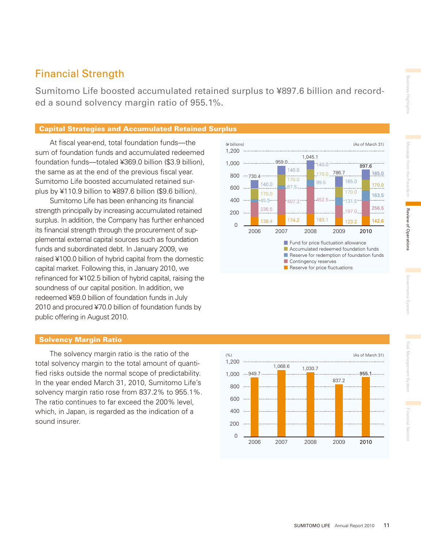## Financial Strength

Sumitomo Life boosted accumulated retained surplus to ¥897.6 billion and recorded a sound solvency margin ratio of 955.1%.

#### Capital Strategies and Accumulated Retained Surplus

 At fiscal year-end, total foundation funds—the sum of foundation funds and accumulated redeemed foundation funds—totaled ¥369.0 billion (\$3.9 billion), the same as at the end of the previous fiscal year. Sumitomo Life boosted accumulated retained surplus by ¥110.9 billion to ¥897.6 billion (\$9.6 billion).

 Sumitomo Life has been enhancing its financial strength principally by increasing accumulated retained surplus. In addition, the Company has further enhanced its financial strength through the procurement of supplemental external capital sources such as foundation funds and subordinated debt. In January 2009, we raised ¥100.0 billion of hybrid capital from the domestic capital market. Following this, in January 2010, we refinanced for ¥102.5 billion of hybrid capital, raising the soundness of our capital position. In addition, we redeemed ¥59.0 billion of foundation funds in July 2010 and procured ¥70.0 billion of foundation funds by public offering in August 2010.

#### (¥ billions) (As of March 31) 1,200 . . . . . . . . . . . . . . . . . . 1,045.1 .959.0...... 1,000 140.0 897.6 140.0 165.0 170.0 786.7 800  $\cdots$  730.4 170.0 165.0 99.5 140.0 170.0 600 67.5 170.0 170.0 163.5  $407.3$   $-452.5$   $-$ 400 ...  $45.5$ 131.5 256.5 236.5 200 197.0 183.1 174.2 142.6 138.4 123.2  $\cap$ 2006 2007 2008 2009 2010 Fund for price fluctuation allowance **Accumulated redeemed foundation funds** Reserve for redemption of foundation funds Contingency reserves

Reserve for price fluctuations

#### Solvency Margin Ratio

 The solvency margin ratio is the ratio of the total solvency margin to the total amount of quantified risks outside the normal scope of predictability. In the year ended March 31, 2010, Sumitomo Life's solvency margin ratio rose from 837.2% to 955.1%. The ratio continues to far exceed the 200% level, which, in Japan, is regarded as the indication of a sound insurer.

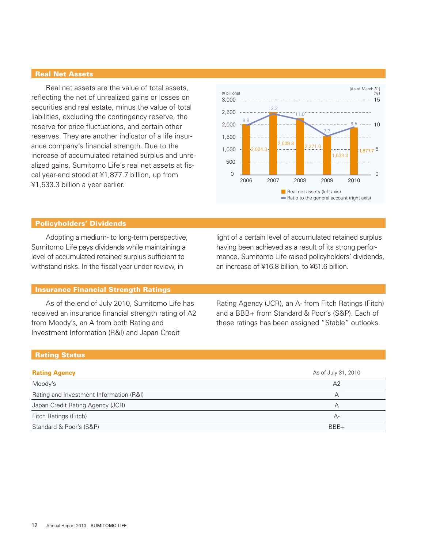#### Real Net Assets

 Real net assets are the value of total assets, reflecting the net of unrealized gains or losses on securities and real estate, minus the value of total liabilities, excluding the contingency reserve, the reserve for price fluctuations, and certain other reserves. They are another indicator of a life insurance company's financial strength. Due to the increase of accumulated retained surplus and unrealized gains, Sumitomo Life's real net assets at fiscal year-end stood at ¥1,877.7 billion, up from ¥1,533.3 billion a year earlier.



#### Policyholders' Dividends

 Adopting a medium- to long-term perspective, Sumitomo Life pays dividends while maintaining a level of accumulated retained surplus sufficient to withstand risks. In the fiscal year under review, in

#### Insurance Financial Strength Ratings

 As of the end of July 2010, Sumitomo Life has received an insurance financial strength rating of A2 from Moody's, an A from both Rating and Investment Information (R&I) and Japan Credit

light of a certain level of accumulated retained surplus having been achieved as a result of its strong performance, Sumitomo Life raised policyholders' dividends, an increase of ¥16.8 billion, to ¥61.6 billion.

Rating Agency (JCR), an A- from Fitch Ratings (Fitch) and a BBB+ from Standard & Poor's (S&P). Each of these ratings has been assigned "Stable" outlooks.

#### Rating Status

| <b>Rating Agency</b>                    | As of July 31, 2010 |
|-----------------------------------------|---------------------|
| Moody's                                 | A <sub>2</sub>      |
| Rating and Investment Information (R&I) | А                   |
| Japan Credit Rating Agency (JCR)        | А                   |
| Fitch Ratings (Fitch)                   | А-                  |
| Standard & Poor's (S&P)                 | $BBB+$              |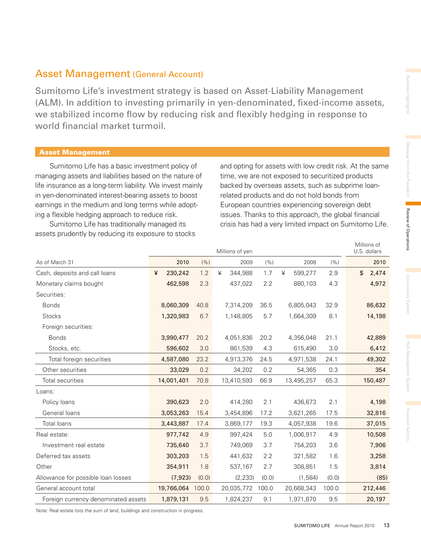Millions of

### Asset Management (General Account)

Sumitomo Life's investment strategy is based on Asset-Liability Management (ALM). In addition to investing primarily in yen-denominated, fixed-income assets, we stabilized income flow by reducing risk and flexibly hedging in response to world financial market turmoil.

#### Asset Management

 Sumitomo Life has a basic investment policy of managing assets and liabilities based on the nature of life insurance as a long-term liability. We invest mainly in yen-denominated interest-bearing assets to boost earnings in the medium and long terms while adopting a flexible hedging approach to reduce risk.

 Sumitomo Life has traditionally managed its assets prudently by reducing its exposure to stocks and opting for assets with low credit risk. At the same time, we are not exposed to securitized products backed by overseas assets, such as subprime loanrelated products and do not hold bonds from European countries experiencing sovereign debt issues. Thanks to this approach, the global financial crisis has had a very limited impact on Sumitomo Life.

|                                     |   |            |       |   | Millions of yen |       |   |            |       | U.S. dollars |
|-------------------------------------|---|------------|-------|---|-----------------|-------|---|------------|-------|--------------|
| As of March 31                      |   | 2010       | (% )  |   | 2009            | (% )  |   | 2008       | (% )  | 2010         |
| Cash, deposits and call loans       | ¥ | 230,242    | 1.2   | ¥ | 344,988         | 1.7   | ¥ | 599,277    | 2.9   | \$<br>2,474  |
| Monetary claims bought              |   | 462,598    | 2.3   |   | 437,022         | 2.2   |   | 880,103    | 4.3   | 4,972        |
| Securities:                         |   |            |       |   |                 |       |   |            |       |              |
| <b>Bonds</b>                        |   | 8,060,309  | 40.8  |   | 7,314,209       | 36.5  |   | 6,805,043  | 32.9  | 86,632       |
| <b>Stocks</b>                       |   | 1,320,983  | 6.7   |   | 1,148,805       | 5.7   |   | 1,664,309  | 8.1   | 14,198       |
| Foreign securities:                 |   |            |       |   |                 |       |   |            |       |              |
| <b>Bonds</b>                        |   | 3,990,477  | 20.2  |   | 4,051,836       | 20.2  |   | 4,356,048  | 21.1  | 42,889       |
| Stocks, etc.                        |   | 596,602    | 3.0   |   | 861,539         | 4.3   |   | 615,490    | 3.0   | 6,412        |
| Total foreign securities            |   | 4,587,080  | 23.2  |   | 4,913,376       | 24.5  |   | 4,971,538  | 24.1  | 49,302       |
| Other securities                    |   | 33,029     | 0.2   |   | 34,202          | 0.2   |   | 54,365     | 0.3   | 354          |
| Total securities                    |   | 14,001,401 | 70.8  |   | 13,410,593      | 66.9  |   | 13,495,257 | 65.3  | 150,487      |
| Loans:                              |   |            |       |   |                 |       |   |            |       |              |
| Policy loans                        |   | 390,623    | 2.0   |   | 414,280         | 2.1   |   | 436,673    | 2.1   | 4,198        |
| General loans                       |   | 3,053,263  | 15.4  |   | 3,454,896       | 17.2  |   | 3,621,265  | 17.5  | 32,816       |
| <b>Total loans</b>                  |   | 3,443,887  | 17.4  |   | 3,869,177       | 19.3  |   | 4,057,938  | 19.6  | 37,015       |
| Real estate:                        |   | 977,742    | 4.9   |   | 997,424         | 5.0   |   | 1,006,917  | 4.9   | 10,508       |
| Investment real estate              |   | 735,640    | 3.7   |   | 749,069         | 3.7   |   | 754,203    | 3.6   | 7,906        |
| Deferred tax assets                 |   | 303,203    | 1.5   |   | 441,632         | 2.2   |   | 321,582    | 1.6   | 3,258        |
| Other                               |   | 354,911    | 1.8   |   | 537,167         | 2.7   |   | 308,851    | 1.5   | 3,814        |
| Allowance for possible loan losses  |   | (7, 923)   | (0.0) |   | (2, 233)        | (0.0) |   | (1,584)    | (0.0) | (85)         |
| General account total               |   | 19,766,064 | 100.0 |   | 20,035,772      | 100.0 |   | 20,668,343 | 100.0 | 212,446      |
| Foreign currency denominated assets |   | 1,879,131  | 9.5   |   | 1,824,237       | 9.1   |   | 1,971,870  | 9.5   | 20,197       |

Note: Real estate lists the sum of land, buildings and construction in progress.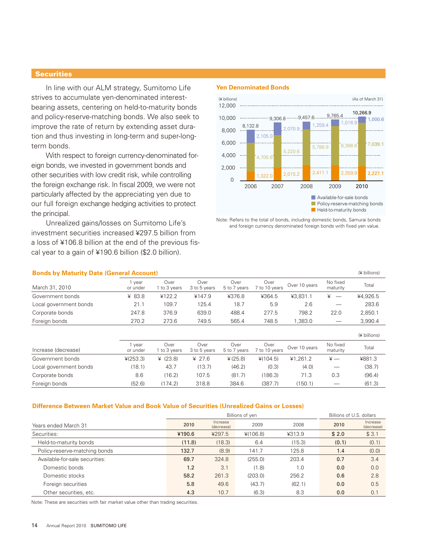#### **Securities**

 In line with our ALM strategy, Sumitomo Life strives to accumulate yen-denominated interestbearing assets, centering on held-to-maturity bonds and policy-reserve-matching bonds. We also seek to improve the rate of return by extending asset duration and thus investing in long-term and super-longterm bonds.

 With respect to foreign currency-denominated foreign bonds, we invested in government bonds and other securities with low credit risk, while controlling the foreign exchange risk. In fiscal 2009, we were not particularly affected by the appreciating yen due to our full foreign exchange hedging activities to protect the principal.

 Unrealized gains/losses on Sumitomo Life's investment securities increased ¥297.5 billion from a loss of ¥106.8 billion at the end of the previous fiscal year to a gain of ¥190.6 billion (\$2.0 billion).

#### **Yen Denominated Bonds**



Note: Refers to the total of bonds, including domestic bonds, Samurai bonds and foreign currency denominated foreign bonds with fixed yen value.

| <b>Bonds by Maturity Date (General Account)</b><br>(¥ billions) |                    |                      |                      |                      |                       |               |                      |              |  |
|-----------------------------------------------------------------|--------------------|----------------------|----------------------|----------------------|-----------------------|---------------|----------------------|--------------|--|
| March 31, 2010                                                  | 1 year<br>or under | Over<br>1 to 3 years | Over<br>3 to 5 years | Over<br>5 to 7 years | Over<br>7 to 10 years | Over 10 years | No fixed<br>maturity | Total        |  |
| Government bonds                                                | ¥ 83.8             | ¥122.2               | ¥147.9               | ¥376.8               | ¥364.5                | ¥3,831.1      | ¥                    | ¥4,926.5     |  |
| Local government bonds                                          | 21.1               | 109.7                | 125.4                | 18.7                 | 5.9                   | 2.6           |                      | 283.6        |  |
| Corporate bonds                                                 | 247.8              | 376.9                | 639.0                | 488.4                | 277.5                 | 798.2         | 22.0                 | 2,850.1      |  |
| Foreign bonds                                                   | 270.2              | 273.6                | 749.5                | 565.4                | 748.5                 | 1,383.0       |                      | 3,990.4      |  |
|                                                                 |                    |                      |                      |                      |                       |               |                      | (¥ billions) |  |
| Increase (decrease)                                             | 1 year<br>or under | Over<br>1 to 3 years | Over<br>3 to 5 years | Over<br>5 to 7 years | Over<br>7 to 10 years | Over 10 years | No fixed<br>maturity | Total        |  |
| Government bonds                                                | ¥(253.3)           | ¥ $(23.8)$           | ¥ 27.6               | $*(25.8)$            | ¥(104.5)              | ¥1.261.2      | $\ddot{x}$ —         | ¥881.3       |  |
| Local government bonds                                          | (18.1)             | 43.7                 | (13.7)               | (46.2)               | (0.3)                 | (4.0)         |                      | (38.7)       |  |
| Corporate bonds                                                 | 8.6                | (16.2)               | 107.5                | (81.7)               | (186.3)               | 71.3          | 0.3                  | (96.4)       |  |
| Foreign bonds                                                   | (52.6)             | (174.2)              | 318.8                | 384.6                | (387.7)               | (150.1)       |                      | (61.3)       |  |

#### **Difference Between Market Value and Book Value of Securities (Unrealized Gains or Losses)**

|                                |        | Billions of yen        | Billions of U.S. dollars |        |       |                        |
|--------------------------------|--------|------------------------|--------------------------|--------|-------|------------------------|
| Years ended March 31           | 2010   | Increase<br>(decrease) | 2009                     | 2008   | 2010  | Increase<br>(decrease) |
| Securities:                    | ¥190.6 | ¥297.5                 | ¥(106.8)                 | ¥313.9 | \$2.0 | \$3.1                  |
| Held-to-maturity bonds         | (11.8) | (18.3)                 | 6.4                      | (15.3) | (0.1) | (0.1)                  |
| Policy-reserve-matching bonds  | 132.7  | (8.9)                  | 141.7                    | 125.8  | 1.4   | (0.0)                  |
| Available-for-sale securities: | 69.7   | 324.8                  | (255.0)                  | 203.4  | 0.7   | 3.4                    |
| Domestic bonds                 | 1.2    | 3.1                    | (1.8)                    | 1.0    | 0.0   | 0.0                    |
| Domestic stocks                | 58.2   | 261.3                  | (203.0)                  | 256.2  | 0.6   | 2.8                    |
| Foreign securities             | 5.8    | 49.6                   | (43.7)                   | (62.1) | 0.0   | 0.5                    |
| Other securities, etc.         | 4.3    | 10.7                   | (6.3)                    | 8.3    | 0.0   | 0.1                    |

Note: These are securities with fair market value other than trading securities.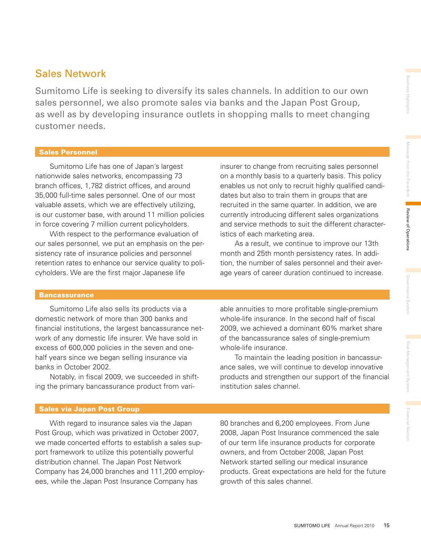### Sales Network

Sumitomo Life is seeking to diversify its sales channels. In addition to our own sales personnel, we also promote sales via banks and the Japan Post Group, as well as by developing insurance outlets in shopping malls to meet changing customer needs.

#### Sales Personnel

 Sumitomo Life has one of Japan's largest nationwide sales networks, encompassing 73 branch offices, 1,782 district offices, and around 35,000 full-time sales personnel. One of our most valuable assets, which we are effectively utilizing, is our customer base, with around 11 million policies in force covering 7 million current policyholders.

 With respect to the performance evaluation of our sales personnel, we put an emphasis on the persistency rate of insurance policies and personnel retention rates to enhance our service quality to policyholders. We are the first major Japanese life

### insurer to change from recruiting sales personnel on a monthly basis to a quarterly basis. This policy enables us not only to recruit highly qualified candidates but also to train them in groups that are recruited in the same quarter. In addition, we are currently introducing different sales organizations and service methods to suit the different characteristics of each marketing area.

 As a result, we continue to improve our 13th month and 25th month persistency rates. In addition, the number of sales personnel and their average years of career duration continued to increase.

#### **Bancassurance**

 Sumitomo Life also sells its products via a domestic network of more than 300 banks and financial institutions, the largest bancassurance network of any domestic life insurer. We have sold in excess of 600,000 policies in the seven and onehalf years since we began selling insurance via banks in October 2002.

 Notably, in fiscal 2009, we succeeded in shifting the primary bancassurance product from variable annuities to more profitable single-premium whole-life insurance. In the second half of fiscal 2009, we achieved a dominant 60% market share of the bancassurance sales of single-premium whole-life insurance.

 To maintain the leading position in bancassurance sales, we will continue to develop innovative products and strengthen our support of the financial institution sales channel.

#### Sales via Japan Post Group

 With regard to insurance sales via the Japan Post Group, which was privatized in October 2007, we made concerted efforts to establish a sales support framework to utilize this potentially powerful distribution channel. The Japan Post Network Company has 24,000 branches and 111,200 employees, while the Japan Post Insurance Company has

80 branches and 6,200 employees. From June 2008, Japan Post Insurance commenced the sale of our term life insurance products for corporate owners, and from October 2008, Japan Post Network started selling our medical insurance products. Great expectations are held for the future growth of this sales channel.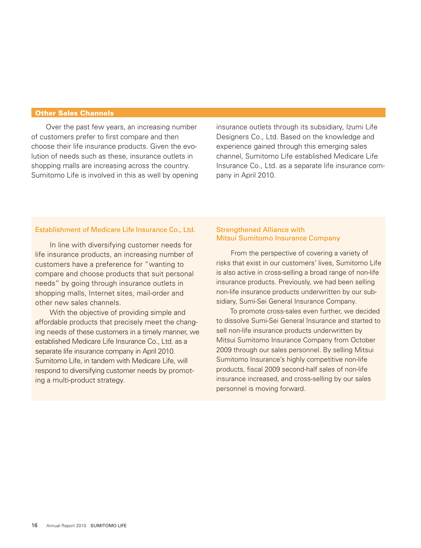#### Other Sales Channels

 Over the past few years, an increasing number of customers prefer to first compare and then choose their life insurance products. Given the evolution of needs such as these, insurance outlets in shopping malls are increasing across the country. Sumitomo Life is involved in this as well by opening insurance outlets through its subsidiary, Izumi Life Designers Co., Ltd. Based on the knowledge and experience gained through this emerging sales channel, Sumitomo Life established Medicare Life Insurance Co., Ltd. as a separate life insurance company in April 2010.

#### Establishment of Medicare Life Insurance Co., Ltd.

 In line with diversifying customer needs for life insurance products, an increasing number of customers have a preference for "wanting to compare and choose products that suit personal needs" by going through insurance outlets in shopping malls, Internet sites, mail-order and other new sales channels.

 With the objective of providing simple and affordable products that precisely meet the changing needs of these customers in a timely manner, we established Medicare Life Insurance Co., Ltd. as a separate life insurance company in April 2010. Sumitomo Life, in tandem with Medicare Life, will respond to diversifying customer needs by promoting a multi-product strategy.

#### Strengthened Alliance with Mitsui Sumitomo Insurance Company

 From the perspective of covering a variety of risks that exist in our customers' lives, Sumitomo Life is also active in cross-selling a broad range of non-life insurance products. Previously, we had been selling non-life insurance products underwritten by our subsidiary, Sumi-Sei General Insurance Company.

 To promote cross-sales even further, we decided to dissolve Sumi-Sei General Insurance and started to sell non-life insurance products underwritten by Mitsui Sumitomo Insurance Company from October 2009 through our sales personnel. By selling Mitsui Sumitomo Insurance's highly competitive non-life products, fiscal 2009 second-half sales of non-life insurance increased, and cross-selling by our sales personnel is moving forward.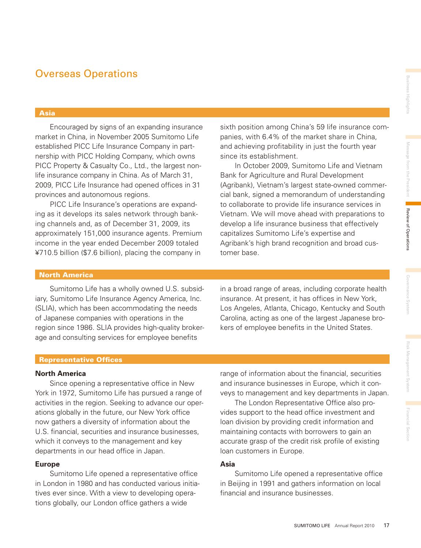Review of Operations

### Overseas Operations

#### Asia

 Encouraged by signs of an expanding insurance market in China, in November 2005 Sumitomo Life established PICC Life Insurance Company in partnership with PICC Holding Company, which owns PICC Property & Casualty Co., Ltd., the largest nonlife insurance company in China. As of March 31, 2009, PICC Life Insurance had opened offices in 31 provinces and autonomous regions.

 PICC Life Insurance's operations are expanding as it develops its sales network through banking channels and, as of December 31, 2009, its approximately 151,000 insurance agents. Premium income in the year ended December 2009 totaled ¥710.5 billion (\$7.6 billion), placing the company in

sixth position among China's 59 life insurance companies, with 6.4% of the market share in China, and achieving profitability in just the fourth year since its establishment.

 In October 2009, Sumitomo Life and Vietnam Bank for Agriculture and Rural Development (Agribank), Vietnam's largest state-owned commercial bank, signed a memorandum of understanding to collaborate to provide life insurance services in Vietnam. We will move ahead with preparations to develop a life insurance business that effectively capitalizes Sumitomo Life's expertise and Agribank's high brand recognition and broad customer base.

#### North America

 Sumitomo Life has a wholly owned U.S. subsidiary, Sumitomo Life Insurance Agency America, Inc. (SLIA), which has been accommodating the needs of Japanese companies with operations in the region since 1986. SLIA provides high-quality brokerage and consulting services for employee benefits

in a broad range of areas, including corporate health insurance. At present, it has offices in New York, Los Angeles, Atlanta, Chicago, Kentucky and South Carolina, acting as one of the largest Japanese brokers of employee benefits in the United States.

#### Representative Offices

#### **North America**

Since opening a representative office in New York in 1972, Sumitomo Life has pursued a range of activities in the region. Seeking to advance our operations globally in the future, our New York office now gathers a diversity of information about the U.S. financial, securities and insurance businesses, which it conveys to the management and key departments in our head office in Japan.

#### **Europe**

Sumitomo Life opened a representative office in London in 1980 and has conducted various initiatives ever since. With a view to developing operations globally, our London office gathers a wide

range of information about the financial, securities and insurance businesses in Europe, which it conveys to management and key departments in Japan.

 The London Representative Office also provides support to the head office investment and loan division by providing credit information and maintaining contacts with borrowers to gain an accurate grasp of the credit risk profile of existing loan customers in Europe.

#### **Asia**

Sumitomo Life opened a representative office in Beijing in 1991 and gathers information on local financial and insurance businesses.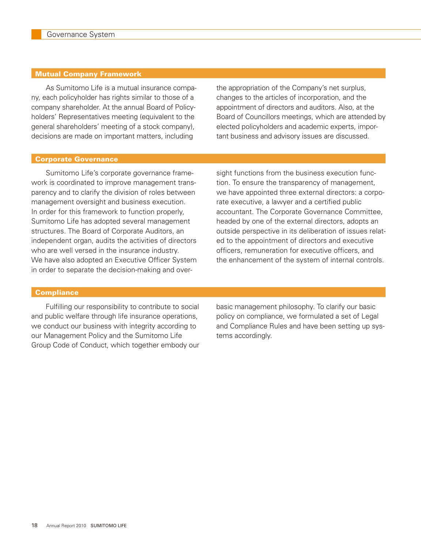#### Mutual Company Framework

 As Sumitomo Life is a mutual insurance company, each policyholder has rights similar to those of a company shareholder. At the annual Board of Policyholders' Representatives meeting (equivalent to the general shareholders' meeting of a stock company), decisions are made on important matters, including

the appropriation of the Company's net surplus, changes to the articles of incorporation, and the appointment of directors and auditors. Also, at the Board of Councillors meetings, which are attended by elected policyholders and academic experts, important business and advisory issues are discussed.

#### Corporate Governance

 Sumitomo Life's corporate governance framework is coordinated to improve management transparency and to clarify the division of roles between management oversight and business execution. In order for this framework to function properly, Sumitomo Life has adopted several management structures. The Board of Corporate Auditors, an independent organ, audits the activities of directors who are well versed in the insurance industry. We have also adopted an Executive Officer System in order to separate the decision-making and oversight functions from the business execution function. To ensure the transparency of management, we have appointed three external directors: a corporate executive, a lawyer and a certified public accountant. The Corporate Governance Committee, headed by one of the external directors, adopts an outside perspective in its deliberation of issues related to the appointment of directors and executive officers, remuneration for executive officers, and the enhancement of the system of internal controls.

#### **Compliance**

 Fulfilling our responsibility to contribute to social and public welfare through life insurance operations, we conduct our business with integrity according to our Management Policy and the Sumitomo Life Group Code of Conduct, which together embody our basic management philosophy. To clarify our basic policy on compliance, we formulated a set of Legal and Compliance Rules and have been setting up systems accordingly.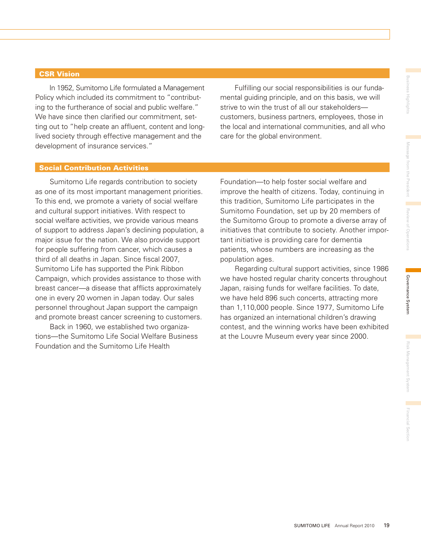#### CSR Vision

 In 1952, Sumitomo Life formulated a Management Policy which included its commitment to "contributing to the furtherance of social and public welfare." We have since then clarified our commitment, setting out to "help create an affluent, content and longlived society through effective management and the development of insurance services."

 Fulfilling our social responsibilities is our fundamental guiding principle, and on this basis, we will strive to win the trust of all our stakeholders customers, business partners, employees, those in the local and international communities, and all who care for the global environment.

#### Social Contribution Activities

 Sumitomo Life regards contribution to society as one of its most important management priorities. To this end, we promote a variety of social welfare and cultural support initiatives. With respect to social welfare activities, we provide various means of support to address Japan's declining population, a major issue for the nation. We also provide support for people suffering from cancer, which causes a third of all deaths in Japan. Since fiscal 2007, Sumitomo Life has supported the Pink Ribbon Campaign, which provides assistance to those with breast cancer—a disease that afflicts approximately one in every 20 women in Japan today. Our sales personnel throughout Japan support the campaign and promote breast cancer screening to customers.

 Back in 1960, we established two organizations—the Sumitomo Life Social Welfare Business Foundation and the Sumitomo Life Health

Foundation—to help foster social welfare and improve the health of citizens. Today, continuing in this tradition, Sumitomo Life participates in the Sumitomo Foundation, set up by 20 members of the Sumitomo Group to promote a diverse array of initiatives that contribute to society. Another important initiative is providing care for dementia patients, whose numbers are increasing as the population ages.

 Regarding cultural support activities, since 1986 we have hosted regular charity concerts throughout Japan, raising funds for welfare facilities. To date, we have held 896 such concerts, attracting more than 1,110,000 people. Since 1977, Sumitomo Life has organized an international children's drawing contest, and the winning works have been exhibited at the Louvre Museum every year since 2000.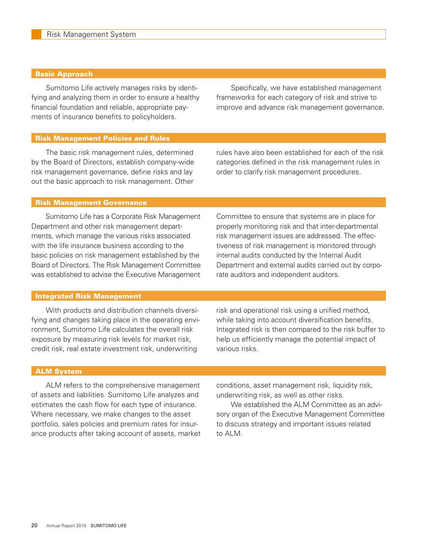#### Basic Approach

 Sumitomo Life actively manages risks by identifying and analyzing them in order to ensure a healthy financial foundation and reliable, appropriate payments of insurance benefits to policyholders.

 Specifically, we have established management frameworks for each category of risk and strive to improve and advance risk management governance.

#### Risk Management Policies and Rules

 The basic risk management rules, determined by the Board of Directors, establish company-wide risk management governance, define risks and lay out the basic approach to risk management. Other rules have also been established for each of the risk categories defined in the risk management rules in order to clarify risk management procedures.

#### Risk Management Governance

 Sumitomo Life has a Corporate Risk Management Department and other risk management departments, which manage the various risks associated with the life insurance business according to the basic policies on risk management established by the Board of Directors. The Risk Management Committee was established to advise the Executive Management

Committee to ensure that systems are in place for properly monitoring risk and that inter-departmental risk management issues are addressed. The effectiveness of risk management is monitored through internal audits conducted by the Internal Audit Department and external audits carried out by corporate auditors and independent auditors.

#### Integrated Risk Management

 With products and distribution channels diversifying and changes taking place in the operating environment, Sumitomo Life calculates the overall risk exposure by measuring risk levels for market risk, credit risk, real estate investment risk, underwriting

risk and operational risk using a unified method, while taking into account diversification benefits. Integrated risk is then compared to the risk buffer to help us efficiently manage the potential impact of various risks.

#### ALM System

 ALM refers to the comprehensive management of assets and liabilities. Sumitomo Life analyzes and estimates the cash flow for each type of insurance. Where necessary, we make changes to the asset portfolio, sales policies and premium rates for insurance products after taking account of assets, market conditions, asset management risk, liquidity risk, underwriting risk, as well as other risks.

 We established the ALM Committee as an advisory organ of the Executive Management Committee to discuss strategy and important issues related to ALM.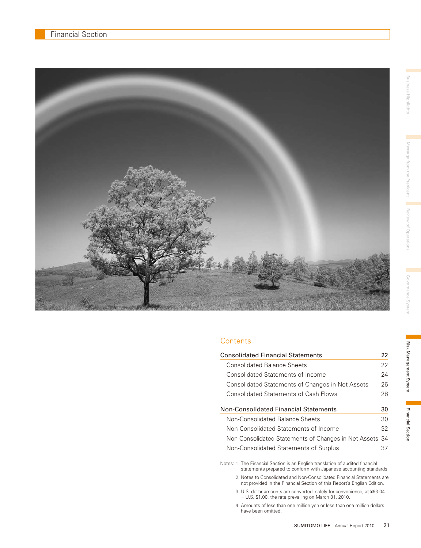

#### **Contents**

| <b>Consolidated Financial Statements</b>                | 22 |
|---------------------------------------------------------|----|
| <b>Consolidated Balance Sheets</b>                      | 22 |
| Consolidated Statements of Income                       | 24 |
| Consolidated Statements of Changes in Net Assets        | 26 |
| <b>Consolidated Statements of Cash Flows</b>            | 28 |
| Non-Consolidated Financial Statements                   | 30 |
| Non-Consolidated Balance Sheets                         | 30 |
| Non-Consolidated Statements of Income                   | 32 |
| Non-Consolidated Statements of Changes in Net Assets 34 |    |
| Non-Consolidated Statements of Surplus                  | 37 |

Notes: 1. The Financial Section is an English translation of audited financial statements prepared to conform with Japanese accounting standards.

- 2. Notes to Consolidated and Non-Consolidated Financial Statements are not provided in the Financial Section of this Report's English Edition.
	- 3. U.S. dollar amounts are converted, solely for convenience, at ¥93.04 = U.S. \$1.00, the rate prevailing on March 31, 2010.

4. Amounts of less than one million yen or less than one million dollars have been omitted.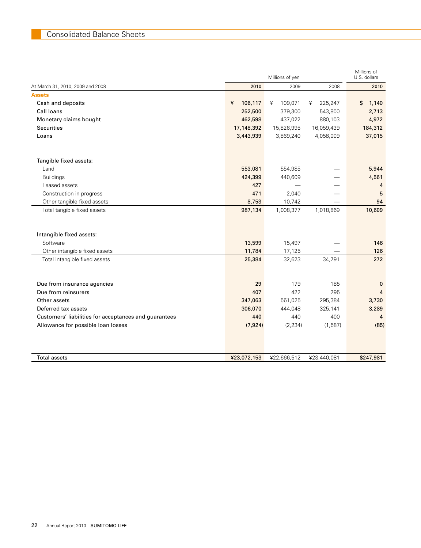|                                                       |              | Millions of yen |              | Millions of<br>U.S. dollars |
|-------------------------------------------------------|--------------|-----------------|--------------|-----------------------------|
| At March 31, 2010, 2009 and 2008                      | 2010         | 2009            | 2008         | 2010                        |
| <b>Assets</b>                                         |              |                 |              |                             |
| Cash and deposits                                     | 106,117<br>¥ | 109,071<br>¥    | 225,247<br>¥ | \$<br>1,140                 |
| Call loans                                            | 252,500      | 379,300         | 543,800      | 2,713                       |
| Monetary claims bought                                | 462,598      | 437,022         | 880,103      | 4,972                       |
| <b>Securities</b>                                     | 17,148,392   | 15,826,995      | 16,059,439   | 184,312                     |
| Loans                                                 | 3,443,939    | 3,869,240       | 4,058,009    | 37,015                      |
| Tangible fixed assets:                                |              |                 |              |                             |
| Land                                                  | 553,081      | 554,985         |              | 5,944                       |
| <b>Buildings</b>                                      | 424,399      | 440,609         |              | 4,561                       |
| Leased assets                                         | 427          |                 |              | 4                           |
| Construction in progress                              | 471          | 2,040           |              | 5                           |
| Other tangible fixed assets                           | 8,753        | 10,742          |              | 94                          |
| Total tangible fixed assets                           | 987,134      | 1,008,377       | 1,018,869    | 10,609                      |
|                                                       |              |                 |              |                             |
| Intangible fixed assets:                              |              |                 |              |                             |
| Software                                              | 13,599       | 15,497          |              | 146                         |
| Other intangible fixed assets                         | 11,784       | 17,125          |              | 126                         |
| Total intangible fixed assets                         | 25,384       | 32,623          | 34,791       | 272                         |
|                                                       |              |                 |              |                             |
| Due from insurance agencies                           | 29           | 179             | 185          | $\mathbf{0}$                |
| Due from reinsurers                                   | 407          | 422             | 295          | $\overline{4}$              |
| Other assets                                          | 347,063      | 561,025         | 295,384      | 3,730                       |
| Deferred tax assets                                   | 306,070      | 444,048         | 325,141      | 3,289                       |
| Customers' liabilities for acceptances and guarantees | 440          | 440             | 400          | 4                           |
| Allowance for possible loan losses                    | (7, 924)     | (2, 234)        | (1,587)      | (85)                        |
|                                                       |              |                 |              |                             |
|                                                       |              |                 |              |                             |
| <b>Total assets</b>                                   | ¥23,072,153  | ¥22,666,512     | ¥23,440,081  | \$247,981                   |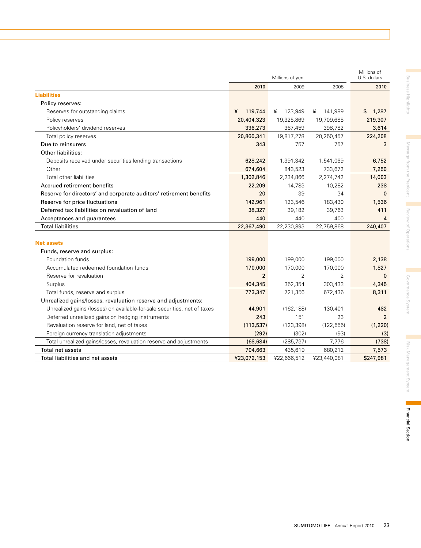|                                                                          |                | Millions of yen |              | Millions of<br>U.S. dollars |
|--------------------------------------------------------------------------|----------------|-----------------|--------------|-----------------------------|
|                                                                          | 2010           | 2009            | 2008         | 2010                        |
| <b>Liabilities</b>                                                       |                |                 |              |                             |
| Policy reserves:                                                         |                |                 |              |                             |
| Reserves for outstanding claims                                          | 119,744<br>¥   | 123,949<br>¥    | 141,989<br>¥ | 1,287<br>\$                 |
| Policy reserves                                                          | 20,404,323     | 19,325,869      | 19,709,685   | 219,307                     |
| Policyholders' dividend reserves                                         | 336,273        | 367,459         | 398,782      | 3,614                       |
| Total policy reserves                                                    | 20,860,341     | 19,817,278      | 20,250,457   | 224,208                     |
| Due to reinsurers                                                        | 343            | 757             | 757          | 3                           |
| <b>Other liabilities:</b>                                                |                |                 |              |                             |
| Deposits received under securities lending transactions                  | 628,242        | 1,391,342       | 1,541,069    | 6,752                       |
| Other                                                                    | 674,604        | 843,523         | 733,672      | 7,250                       |
| Total other liabilities                                                  | 1,302,846      | 2,234,866       | 2,274,742    | 14,003                      |
| Accrued retirement benefits                                              | 22,209         | 14,783          | 10,282       | 238                         |
| Reserve for directors' and corporate auditors' retirement benefits       | 20             | 39              | 34           | $\mathbf{0}$                |
| Reserve for price fluctuations                                           | 142,961        | 123,546         | 183,430      | 1,536                       |
| Deferred tax liabilities on revaluation of land                          | 38,327         | 39,182          | 39,763       | 411                         |
| Acceptances and guarantees                                               | 440            | 440             | 400          | 4                           |
| <b>Total liabilities</b>                                                 | 22,367,490     | 22,230,893      | 22,759,868   | 240,407                     |
|                                                                          |                |                 |              |                             |
| <b>Net assets</b>                                                        |                |                 |              |                             |
| Funds, reserve and surplus:                                              |                |                 |              |                             |
| Foundation funds                                                         | 199,000        | 199,000         | 199,000      | 2,138                       |
| Accumulated redeemed foundation funds                                    | 170,000        | 170,000         | 170,000      | 1,827                       |
| Reserve for revaluation                                                  | $\overline{2}$ | $\overline{2}$  | 2            | $\mathbf{0}$                |
| Surplus                                                                  | 404,345        | 352,354         | 303,433      | 4,345                       |
| Total funds, reserve and surplus                                         | 773,347        | 721,356         | 672,436      | 8,311                       |
| Unrealized gains/losses, revaluation reserve and adjustments:            |                |                 |              |                             |
| Unrealized gains (losses) on available-for-sale securities, net of taxes | 44,901         | (162, 188)      | 130,401      | 482                         |
| Deferred unrealized gains on hedging instruments                         | 243            | 151             | 23           | $\mathcal{P}$               |
| Revaluation reserve for land, net of taxes                               | (113, 537)     | (123, 398)      | (122, 555)   | (1, 220)                    |
| Foreign currency translation adjustments                                 | (292)          | (302)           | (93)         | (3)                         |
| Total unrealized gains/losses, revaluation reserve and adjustments       | (68, 684)      | (285, 737)      | 7,776        | (738)                       |
| Total net assets                                                         | 704,663        | 435,619         | 680,212      | 7,573                       |
| Total liabilities and net assets                                         | ¥23,072,153    | ¥22,666,512     | ¥23,440,081  | \$247,981                   |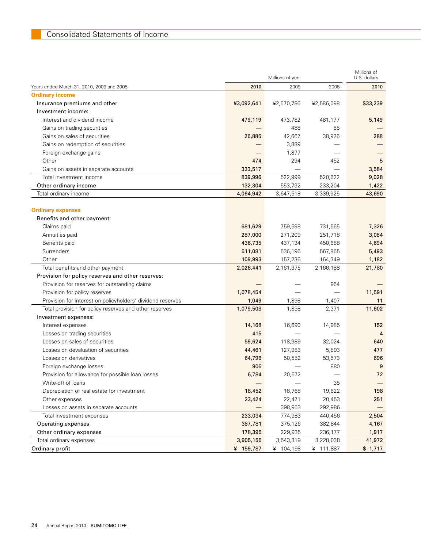|                                                            |            | Millions of yen |            | Millions of<br>U.S. dollars |
|------------------------------------------------------------|------------|-----------------|------------|-----------------------------|
| Years ended March 31, 2010, 2009 and 2008                  | 2010       | 2009            | 2008       | 2010                        |
| <b>Ordinary income</b>                                     |            |                 |            |                             |
| Insurance premiums and other                               | ¥3,092,641 | ¥2,570,786      | ¥2,586,098 | \$33,239                    |
| Investment income:                                         |            |                 |            |                             |
| Interest and dividend income                               | 479,119    | 473,782         | 481,177    | 5,149                       |
| Gains on trading securities                                |            | 488             | 65         |                             |
| Gains on sales of securities                               | 26,885     | 42,667          | 38,926     | 288                         |
| Gains on redemption of securities                          |            | 3,889           |            |                             |
| Foreign exchange gains                                     |            | 1,877           |            |                             |
| Other                                                      | 474        | 294             | 452        | 5                           |
| Gains on assets in separate accounts                       | 333,517    |                 |            | 3,584                       |
| Total investment income                                    | 839,996    | 522,999         | 520,622    | 9,028                       |
| Other ordinary income                                      | 132,304    | 553,732         | 233,204    | 1,422                       |
| Total ordinary income                                      | 4,064,942  | 3,647,518       | 3,339,925  | 43,690                      |
|                                                            |            |                 |            |                             |
| <b>Ordinary expenses</b>                                   |            |                 |            |                             |
| Benefits and other payment:                                |            |                 |            |                             |
| Claims paid                                                | 681,629    | 759,598         | 731,565    | 7,326                       |
| Annuities paid                                             | 287,000    | 271,209         | 251,718    | 3,084                       |
| Benefits paid                                              | 436,735    | 437,134         | 450,688    | 4,694                       |
| Surrenders                                                 | 511,081    | 536,196         | 567,865    | 5,493                       |
| Other                                                      | 109,993    | 157,236         | 164,349    | 1,182                       |
| Total benefits and other payment                           | 2,026,441  | 2,161,375       | 2,166,188  | 21,780                      |
| Provision for policy reserves and other reserves:          |            |                 |            |                             |
| Provision for reserves for outstanding claims              |            |                 | 964        |                             |
| Provision for policy reserves                              | 1,078,454  |                 |            | 11,591                      |
| Provision for interest on policyholders' dividend reserves | 1,049      | 1,898           | 1,407      | 11                          |
| Total provision for policy reserves and other reserves     | 1,079,503  | 1,898           | 2,371      | 11,602                      |
| Investment expenses:                                       |            |                 |            |                             |
| Interest expenses                                          | 14,168     | 16,690          | 14,985     | 152                         |
| Losses on trading securities                               | 415        |                 |            | 4                           |
| Losses on sales of securities                              | 59,624     | 118,989         | 32,024     | 640                         |
| Losses on devaluation of securities                        | 44,461     | 127,983         | 5,893      | 477                         |
| Losses on derivatives                                      | 64,796     | 50,552          | 53,573     | 696                         |
| Foreign exchange losses                                    | 906        |                 | 880        | 9                           |
| Provision for allowance for possible loan losses           | 6,784      | 20,572          |            | 72                          |
| Write-off of loans                                         |            |                 | 35         |                             |
| Depreciation of real estate for investment                 | 18,452     | 18,768          | 19,622     | 198                         |
| Other expenses                                             | 23,424     | 22,471          | 20,453     | 251                         |
| Losses on assets in separate accounts                      |            | 398,953         | 292,986    |                             |
| Total investment expenses                                  | 233,034    | 774,983         | 440,456    | 2,504                       |
| Operating expenses                                         | 387,781    | 375,126         | 382,844    | 4,167                       |
| Other ordinary expenses                                    | 178,395    | 229,935         | 236,177    | 1,917                       |
| Total ordinary expenses                                    | 3,905,155  | 3,543,319       | 3,228,038  | 41,972                      |
| Ordinary profit                                            | ¥ 159,787  | ¥ 104,198       | ¥ 111,887  | \$1,717                     |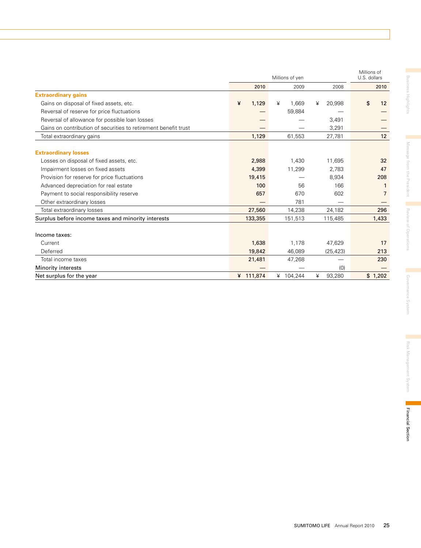|                                                                 |            | Millions of yen |             | Millions of<br>U.S. dollars |
|-----------------------------------------------------------------|------------|-----------------|-------------|-----------------------------|
|                                                                 | 2010       | 2009            | 2008        | 2010                        |
| <b>Extraordinary gains</b>                                      |            |                 |             |                             |
| Gains on disposal of fixed assets, etc.                         | 1,129<br>¥ | 1.669<br>¥      | 20,998<br>¥ | \$<br>12                    |
| Reversal of reserve for price fluctuations                      |            | 59,884          |             |                             |
| Reversal of allowance for possible loan losses                  |            |                 | 3,491       |                             |
| Gains on contribution of securities to retirement benefit trust |            |                 | 3,291       |                             |
| Total extraordinary gains                                       | 1,129      | 61,553          | 27,781      | 12                          |
| <b>Extraordinary losses</b>                                     |            |                 |             |                             |
| Losses on disposal of fixed assets, etc.                        | 2,988      | 1,430           | 11,695      | 32                          |
| Impairment losses on fixed assets                               | 4,399      | 11,299          | 2,783       | 47                          |
| Provision for reserve for price fluctuations                    | 19,415     |                 | 8,934       | 208                         |
| Advanced depreciation for real estate                           | 100        | 56              | 166         |                             |
| Payment to social responsibility reserve                        | 657        | 670             | 602         | $\overline{7}$              |
| Other extraordinary losses                                      |            | 781             |             |                             |
| Total extraordinary losses                                      | 27,560     | 14,238          | 24,182      | 296                         |
| Surplus before income taxes and minority interests              | 133,355    | 151,513         | 115,485     | 1,433                       |
| Income taxes:                                                   |            |                 |             |                             |
| Current                                                         | 1,638      | 1,178           | 47,629      | 17                          |
| Deferred                                                        | 19,842     | 46,089          | (25, 423)   | 213                         |
| Total income taxes                                              | 21,481     | 47,268          |             | 230                         |
| <b>Minority interests</b>                                       |            |                 | (0)         |                             |
| Net surplus for the year                                        | ¥ 111,874  | ¥ 104,244       | ¥<br>93,280 | \$1,202                     |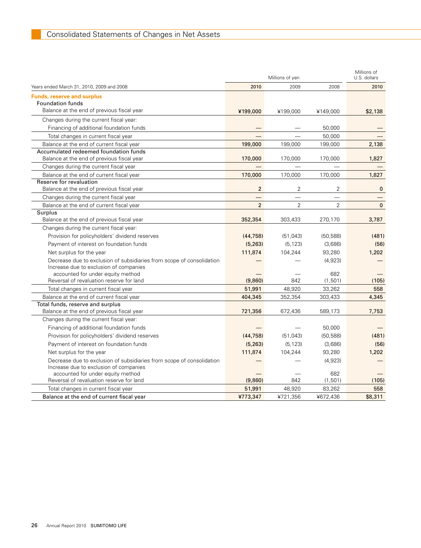|                                                                                                                 |                | Millions of yen |                | Millions of<br>U.S. dollars |
|-----------------------------------------------------------------------------------------------------------------|----------------|-----------------|----------------|-----------------------------|
| Years ended March 31, 2010, 2009 and 2008                                                                       | 2010           | 2009            | 2008           | 2010                        |
| <b>Funds, reserve and surplus</b>                                                                               |                |                 |                |                             |
| <b>Foundation funds</b>                                                                                         |                |                 |                |                             |
| Balance at the end of previous fiscal year                                                                      | ¥199,000       | ¥199,000        | ¥149,000       | \$2,138                     |
| Changes during the current fiscal year:                                                                         |                |                 |                |                             |
| Financing of additional foundation funds                                                                        |                |                 | 50,000         |                             |
| Total changes in current fiscal year                                                                            |                |                 | 50,000         |                             |
| Balance at the end of current fiscal year                                                                       | 199,000        | 199,000         | 199,000        | 2,138                       |
| Accumulated redeemed foundation funds                                                                           |                |                 |                |                             |
| Balance at the end of previous fiscal year                                                                      | 170,000        | 170,000         | 170,000        | 1,827                       |
| Changes during the current fiscal year                                                                          |                |                 |                |                             |
| Balance at the end of current fiscal year                                                                       | 170,000        | 170,000         | 170,000        | 1,827                       |
| Reserve for revaluation                                                                                         |                |                 |                |                             |
| Balance at the end of previous fiscal year                                                                      | $\overline{2}$ | 2               | $\overline{2}$ | $\mathbf{0}$                |
| Changes during the current fiscal year                                                                          |                |                 |                |                             |
| Balance at the end of current fiscal year                                                                       | $\overline{2}$ | $\overline{2}$  | $\overline{2}$ | $\mathbf 0$                 |
| Surplus                                                                                                         |                |                 |                |                             |
| Balance at the end of previous fiscal year                                                                      | 352,354        | 303,433         | 270,170        | 3,787                       |
| Changes during the current fiscal year:                                                                         |                |                 |                |                             |
| Provision for policyholders' dividend reserves                                                                  | (44, 758)      | (51, 043)       | (50, 588)      | (481)                       |
| Payment of interest on foundation funds                                                                         | (5, 263)       | (5, 123)        | (3,686)        | (56)                        |
| Net surplus for the year                                                                                        | 111,874        | 104,244         | 93,280         | 1,202                       |
| Decrease due to exclusion of subsidiaries from scope of consolidation<br>Increase due to exclusion of companies |                |                 | (4,923)        |                             |
| accounted for under equity method                                                                               |                |                 | 682            |                             |
| Reversal of revaluation reserve for land                                                                        | (9,860)        | 842             | (1, 501)       | (105)                       |
| Total changes in current fiscal year                                                                            | 51,991         | 48,920          | 33,262         | 558                         |
| Balance at the end of current fiscal year                                                                       | 404,345        | 352,354         | 303,433        | 4,345                       |
| Total funds, reserve and surplus                                                                                |                |                 |                |                             |
| Balance at the end of previous fiscal year                                                                      | 721,356        | 672,436         | 589,173        | 7,753                       |
| Changes during the current fiscal year:                                                                         |                |                 |                |                             |
| Financing of additional foundation funds                                                                        |                |                 | 50,000         |                             |
| Provision for policyholders' dividend reserves                                                                  | (44, 758)      | (51, 043)       | (50, 588)      | (481)                       |
| Payment of interest on foundation funds                                                                         | (5,263)        | (5, 123)        | (3,686)        | (56)                        |
| Net surplus for the year                                                                                        | 111,874        | 104,244         | 93,280         | 1,202                       |
| Decrease due to exclusion of subsidiaries from scope of consolidation                                           |                |                 | (4,923)        |                             |
| Increase due to exclusion of companies                                                                          |                |                 |                |                             |
| accounted for under equity method                                                                               |                |                 | 682            |                             |
| Reversal of revaluation reserve for land                                                                        | (9,860)        | 842             | (1,501)        | (105)                       |
| Total changes in current fiscal year                                                                            | 51,991         | 48,920          | 83,262         | 558                         |
| Balance at the end of current fiscal year                                                                       | ¥773,347       | ¥721,356        | ¥672,436       | \$8,311                     |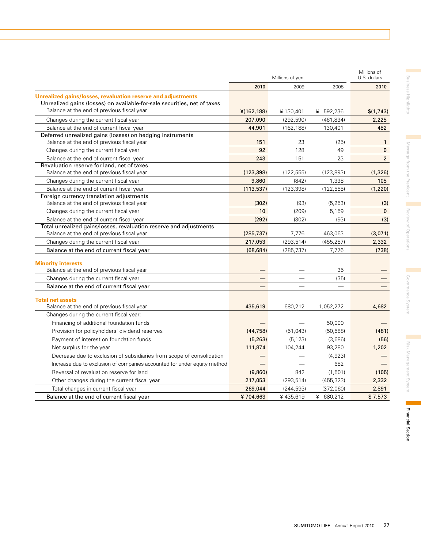|                                                                                                                                          |            | Millions of yen |            | Millions of<br>U.S. dollars |
|------------------------------------------------------------------------------------------------------------------------------------------|------------|-----------------|------------|-----------------------------|
|                                                                                                                                          | 2010       | 2009            | 2008       | 2010                        |
| Unrealized gains/losses, revaluation reserve and adjustments<br>Unrealized gains (losses) on available-for-sale securities, net of taxes |            |                 |            |                             |
| Balance at the end of previous fiscal year                                                                                               | (162, 188) | ¥130,401        | ¥ 592,236  | \$(1,743)                   |
| Changes during the current fiscal year                                                                                                   | 207,090    | (292, 590)      | (461, 834) | 2,225                       |
| Balance at the end of current fiscal year                                                                                                | 44,901     | (162, 188)      | 130,401    | 482                         |
| Deferred unrealized gains (losses) on hedging instruments                                                                                |            |                 |            |                             |
| Balance at the end of previous fiscal year                                                                                               | 151        | 23              | (25)       | $\mathbf{1}$                |
| Changes during the current fiscal year                                                                                                   | 92         | 128             | 49         | $\mathbf{0}$                |
| Balance at the end of current fiscal year                                                                                                | 243        | 151             | 23         | $\overline{2}$              |
| Revaluation reserve for land, net of taxes                                                                                               |            |                 |            |                             |
| Balance at the end of previous fiscal year                                                                                               | (123, 398) | (122, 555)      | (123, 893) | (1,326)                     |
| Changes during the current fiscal year                                                                                                   | 9,860      | (842)           | 1,338      | 105                         |
| Balance at the end of current fiscal year                                                                                                | (113, 537) | (123, 398)      | (122, 555) | (1,220)                     |
| Foreign currency translation adjustments                                                                                                 |            |                 |            |                             |
| Balance at the end of previous fiscal year                                                                                               | (302)      | (93)            | (5, 253)   | (3)                         |
| Changes during the current fiscal year                                                                                                   | 10         | (209)           | 5,159      | $\mathbf 0$                 |
| Balance at the end of current fiscal year                                                                                                | (292)      | (302)           | (93)       | (3)                         |
| Total unrealized gains/losses, revaluation reserve and adjustments                                                                       |            |                 |            |                             |
| Balance at the end of previous fiscal year                                                                                               | (285, 737) | 7,776           | 463,063    | (3,071)                     |
| Changes during the current fiscal year                                                                                                   | 217,053    | (293, 514)      | (455, 287) | 2,332                       |
| Balance at the end of current fiscal year                                                                                                | (68, 684)  | (285, 737)      | 7,776      | (738)                       |
| <b>Minority interests</b><br>Balance at the end of previous fiscal year                                                                  |            |                 | 35         |                             |
| Changes during the current fiscal year                                                                                                   |            |                 | (35)       |                             |
| Balance at the end of current fiscal year                                                                                                |            |                 |            |                             |
| <b>Total net assets</b>                                                                                                                  |            |                 |            |                             |
| Balance at the end of previous fiscal year                                                                                               | 435,619    | 680,212         | 1,052,272  | 4,682                       |
| Changes during the current fiscal year:                                                                                                  |            |                 |            |                             |
| Financing of additional foundation funds                                                                                                 |            |                 | 50,000     |                             |
| Provision for policyholders' dividend reserves                                                                                           | (44, 758)  | (51, 043)       | (50, 588)  | (481)                       |
| Payment of interest on foundation funds                                                                                                  | (5,263)    | (5, 123)        | (3,686)    | (56)                        |
| Net surplus for the year                                                                                                                 | 111,874    | 104,244         | 93,280     | 1,202                       |
| Decrease due to exclusion of subsidiaries from scope of consolidation                                                                    |            |                 | (4,923)    |                             |
| Increase due to exclusion of companies accounted for under equity method                                                                 |            |                 | 682        |                             |
| Reversal of revaluation reserve for land                                                                                                 | (9,860)    | 842             | (1, 501)   | (105)                       |
| Other changes during the current fiscal year                                                                                             | 217,053    | (293, 514)      | (455, 323) | 2,332                       |
| Total changes in current fiscal year                                                                                                     | 269,044    | (244, 593)      | (372,060)  | 2,891                       |
| Balance at the end of current fiscal year                                                                                                | ¥704,663   | ¥435,619        | ¥ 680,212  | \$7,573                     |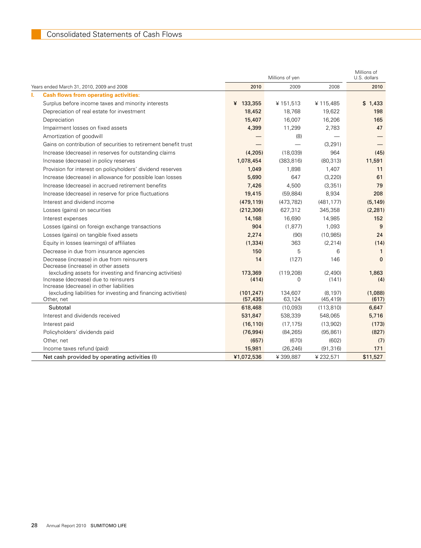|   |                                                                                                            |            | Millions of yen |            | Millions of<br>U.S. dollars |
|---|------------------------------------------------------------------------------------------------------------|------------|-----------------|------------|-----------------------------|
|   | Years ended March 31, 2010, 2009 and 2008                                                                  | 2010       | 2009            | 2008       | 2010                        |
| L | <b>Cash flows from operating activities:</b>                                                               |            |                 |            |                             |
|   | Surplus before income taxes and minority interests                                                         | ¥ 133,355  | ¥151,513        | ¥115,485   | \$1,433                     |
|   | Depreciation of real estate for investment                                                                 | 18,452     | 18,768          | 19,622     | 198                         |
|   | Depreciation                                                                                               | 15,407     | 16,007          | 16,206     | 165                         |
|   | Impairment losses on fixed assets                                                                          | 4,399      | 11,299          | 2,783      | 47                          |
|   | Amortization of goodwill                                                                                   |            | (8)             |            |                             |
|   | Gains on contribution of securities to retirement benefit trust                                            |            |                 | (3, 291)   |                             |
|   | Increase (decrease) in reserves for outstanding claims                                                     | (4,205)    | (18,039)        | 964        | (45)                        |
|   | Increase (decrease) in policy reserves                                                                     | 1,078,454  | (383, 816)      | (80, 313)  | 11,591                      |
|   | Provision for interest on policyholders' dividend reserves                                                 | 1,049      | 1,898           | 1,407      | 11                          |
|   | Increase (decrease) in allowance for possible loan losses                                                  | 5,690      | 647             | (3, 220)   | 61                          |
|   | Increase (decrease) in accrued retirement benefits                                                         | 7,426      | 4,500           | (3, 351)   | 79                          |
|   | Increase (decrease) in reserve for price fluctuations                                                      | 19,415     | (59, 884)       | 8,934      | 208                         |
|   | Interest and dividend income                                                                               | (479, 119) | (473, 782)      | (481, 177) | (5, 149)                    |
|   | Losses (gains) on securities                                                                               | (212, 306) | 627,312         | 345,358    | (2, 281)                    |
|   | Interest expenses                                                                                          | 14,168     | 16,690          | 14,985     | 152                         |
|   | Losses (gains) on foreign exchange transactions                                                            | 904        | (1, 877)        | 1,093      | 9                           |
|   | Losses (gains) on tangible fixed assets                                                                    | 2,274      | (90)            | (10, 985)  | 24                          |
|   | Equity in losses (earnings) of affiliates                                                                  | (1, 334)   | 363             | (2, 214)   | (14)                        |
|   | Decrease in due from insurance agencies                                                                    | 150        | 5               | 6          | 1                           |
|   | Decrease (increase) in due from reinsurers<br>Decrease (increase) in other assets                          | 14         | (127)           | 146        | $\mathbf{0}$                |
|   | (excluding assets for investing and financing activities)                                                  | 173,369    | (119, 208)      | (2,490)    | 1,863                       |
|   | Increase (decrease) due to reinsurers                                                                      | (414)      | 0               | (141)      | (4)                         |
|   | Increase (decrease) in other liabilities<br>(excluding liabilities for investing and financing activities) | (101, 247) | 134,607         | (8, 197)   | (1,088)                     |
|   | Other, net                                                                                                 | (57, 435)  | 63,124          | (45, 419)  | (617)                       |
|   | Subtotal                                                                                                   | 618,468    | (10,093)        | (113, 810) | 6,647                       |
|   | Interest and dividends received                                                                            | 531,847    | 538,339         | 548,065    | 5,716                       |
|   | Interest paid                                                                                              | (16, 110)  | (17, 175)       | (13,902)   | (173)                       |
|   | Policyholders' dividends paid                                                                              | (76, 994)  | (84, 265)       | (95, 861)  | (827)                       |
|   | Other, net                                                                                                 | (657)      | (670)           | (602)      | (7)                         |
|   | Income taxes refund (paid)                                                                                 | 15,981     | (26, 246)       | (91, 316)  | 171                         |
|   | Net cash provided by operating activities (I)                                                              | ¥1,072,536 | ¥399,887        | ¥232,571   | \$11,527                    |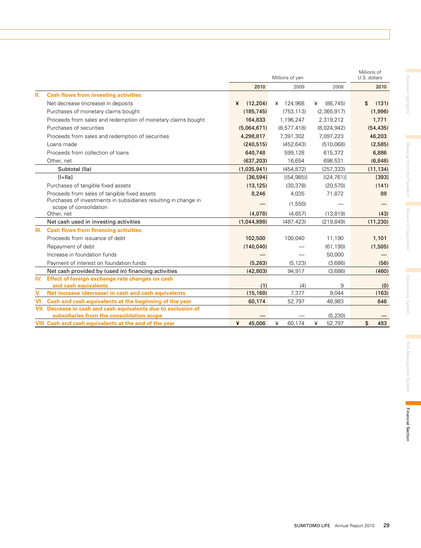|                                                                                                             |               | Millions of yen |               | Millions of<br>U.S. dollars |
|-------------------------------------------------------------------------------------------------------------|---------------|-----------------|---------------|-----------------------------|
|                                                                                                             | 2010          | 2009            | 2008          | 2010                        |
| Ш.<br><b>Cash flows from investing activities:</b>                                                          |               |                 |               |                             |
| Net decrease (increase) in deposits                                                                         | ¥<br>(12.204) | ¥ 124.968       | (86.745)<br>¥ | \$<br>(131)                 |
| Purchases of monetary claims bought                                                                         | (185, 745)    | (753, 113)      | (2,365,917)   | (1,996)                     |
| Proceeds from sales and redemption of monetary claims bought                                                | 164,833       | 1,196,247       | 2,319,212     | 1,771                       |
| Purchases of securities                                                                                     | (5,064,671)   | (8,577,418)     | (8,024,942)   | (54, 435)                   |
| Proceeds from sales and redemption of securities                                                            | 4,298,817     | 7,391,302       | 7,097,223     | 46,203                      |
| Loans made                                                                                                  | (240, 515)    | (452, 643)      | (510,068)     | (2,585)                     |
| Proceeds from collection of loans                                                                           | 640,748       | 599,128         | 615,372       | 6,886                       |
| Other, net                                                                                                  | (637, 203)    | 16,654          | 698,531       | (6, 848)                    |
| Subtotal (Ila)                                                                                              | (1,035,941)   | (454, 872)      | (257, 333)    | (11, 134)                   |
| $[ +  a ]$                                                                                                  | [36, 594]     | [(54, 985)]     | [(24, 761)]   | [393]                       |
| Purchases of tangible fixed assets                                                                          | (13, 125)     | (30, 378)       | (20, 570)     | (141)                       |
| Proceeds from sales of tangible fixed assets                                                                | 8,246         | 4.035           | 71,872        | 88                          |
| Purchases of investments in subsidiaries resulting in change in<br>scope of consolidation                   |               | (1,550)         |               |                             |
| Other, net                                                                                                  | (4,078)       | (4,657)         | (13, 819)     | (43)                        |
| Net cash used in investing activities                                                                       | (1,044,898)   | (487, 423)      | (219, 849)    | (11, 230)                   |
| <b>Cash flows from financing activities:</b><br>III.                                                        |               |                 |               |                             |
| Proceeds from issuance of debt                                                                              | 102,500       | 100,040         | 11,190        | 1,101                       |
| Repayment of debt                                                                                           | (140, 040)    |                 | (61, 190)     | (1,505)                     |
| Increase in foundation funds                                                                                |               |                 | 50,000        |                             |
| Payment of interest on foundation funds                                                                     | (5, 263)      | (5, 123)        | (3,686)       | (56)                        |
| Net cash provided by (used in) financing activities                                                         | (42, 803)     | 94,917          | (3,686)       | (460)                       |
| IV.<br>Effect of foreign exchange rate changes on cash                                                      |               |                 |               |                             |
| and cash equivalents                                                                                        | (1)           | (4)             | 9             | (0)                         |
| Net increase (decrease) in cash and cash equivalents<br>V.                                                  | (15, 168)     | 7,377           | 9,044         | (163)                       |
| Cash and cash equivalents at the beginning of the year<br>VI.                                               | 60,174        | 52,797          | 48,983        | 646                         |
| VII. Decrease in cash and cash equivalents due to exclusion of<br>subsidiaries from the consolidation scope |               |                 | (5, 230)      |                             |
| VIII. Cash and cash equivalents at the end of the year                                                      | ¥<br>45,006   | ¥<br>60,174     | ¥<br>52,797   | \$<br>483                   |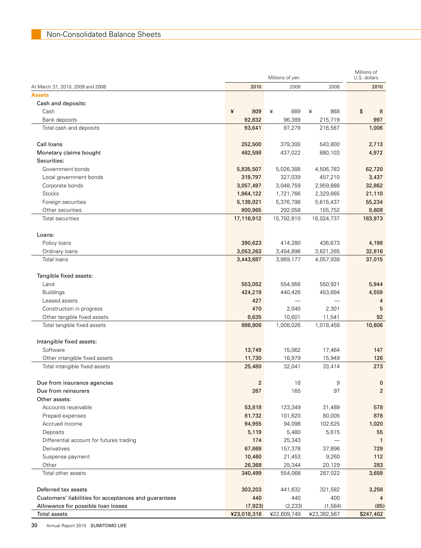|                                                       |             |          | Millions of yen |             | Millions of<br>U.S. dollars |
|-------------------------------------------------------|-------------|----------|-----------------|-------------|-----------------------------|
| At March 31, 2010, 2009 and 2008                      |             | 2010     | 2009            | 2008        | 2010                        |
| <b>Assets</b>                                         |             |          |                 |             |                             |
| Cash and deposits:                                    |             |          |                 |             |                             |
| Cash                                                  | ¥           | 809      | ¥<br>889        | 868<br>¥    | \$<br>8                     |
| Bank deposits                                         |             | 92,832   | 96,389          | 215,719     | 997                         |
| Total cash and deposits                               |             | 93,641   | 97,279          | 216,587     | 1,006                       |
| Call Ioans                                            |             | 252,500  | 379,300         | 543,800     | 2,713                       |
| Monetary claims bought                                |             | 462,598  | 437,022         | 880.103     | 4,972                       |
| Securities:                                           |             |          |                 |             |                             |
| Government bonds                                      | 5,835,507   |          | 5,026,388       | 4,506,783   | 62,720                      |
| Local government bonds                                |             | 319,797  | 327,039         | 457,210     | 3,437                       |
| Corporate bonds                                       | 3,057,497   |          | 3,048,759       | 2,959,888   | 32,862                      |
| <b>Stocks</b>                                         | 1,964,122   |          | 1,721,766       | 2,329,665   | 21,110                      |
| Foreign securities                                    | 5,139,021   |          | 5,376,798       | 5,615,437   | 55,234                      |
| Other securities                                      |             | 800,965  | 292,058         | 155,752     | 8,608                       |
| Total securities                                      | 17,116,912  |          | 15,792,810      | 16,024,737  | 183,973                     |
| Loans:                                                |             |          |                 |             |                             |
| Policy loans                                          |             | 390,623  | 414,280         | 436,673     | 4,198                       |
| Ordinary loans                                        | 3,053,263   |          | 3,454,896       | 3,621,265   | 32,816                      |
| Total loans                                           | 3,443,887   |          | 3,869,177       | 4,057,938   | 37,015                      |
| Tangible fixed assets:                                |             |          |                 |             |                             |
| Land                                                  |             | 553,052  | 554,956         | 550,921     | 5,944                       |
| <b>Buildings</b>                                      |             | 424,219  | 440,426         | 453,694     | 4,559                       |
| Leased assets                                         |             | 427      |                 |             | 4                           |
| Construction in progress                              |             | 470      | 2,040           | 2,301       | 5                           |
| Other tangible fixed assets                           |             | 8,635    | 10,601          | 11,541      | 92                          |
| Total tangible fixed assets                           | 986,806     |          | 1,008,026       | 1,018,458   | 10,606                      |
| Intangible fixed assets:                              |             |          |                 |             |                             |
| Software                                              |             | 13,749   | 15,062          | 17,464      | 147                         |
| Other intangible fixed assets                         |             | 11,730   | 16,979          | 15,949      | 126                         |
| Total intangible fixed assets                         |             | 25,480   | 32,041          | 33,414      | 273                         |
| Due from insurance agencies                           |             | 2        | 18              | 9           | $\mathbf 0$                 |
| Due from reinsurers                                   |             | 267      | 165             | 97          | $\overline{2}$              |
| Other assets:                                         |             |          |                 |             |                             |
| Accounts receivable                                   |             | 53,818   | 123,349         | 31,489      | 578                         |
| Prepaid expenses                                      |             | 81,732   | 101,620         | 80,005      | 878                         |
| Accrued income                                        |             | 94,955   | 94,098          | 102,625     | 1,020                       |
| Deposits                                              |             | 5,119    | 5,480           | 5,615       | 55                          |
| Differential account for futures trading              |             | 174      | 25,343          |             | $\mathbf{1}$                |
| Derivatives                                           |             | 67,869   | 157,378         | 37,896      | 729                         |
| Suspense payment                                      |             | 10,460   | 21,453          | 9,260       | 112                         |
| Other                                                 |             | 26,368   | 25,344          | 20,129      | 283                         |
| Total other assets                                    |             | 340,499  | 554,068         | 287,022     | 3,659                       |
| Deferred tax assets                                   |             | 303,203  | 441,632         | 321,582     | 3,258                       |
| Customers' liabilities for acceptances and guarantees |             | 440      | 440             | 400         | 4                           |
| Allowance for possible loan losses                    |             | (7, 923) | (2, 233)        | (1,584)     | (85)                        |
| <b>Total assets</b>                                   | ¥23,018,316 |          | ¥22,609,749     | ¥23,382,567 | \$247,402                   |

30 Annual Report 2010 SUMITOMO LIFE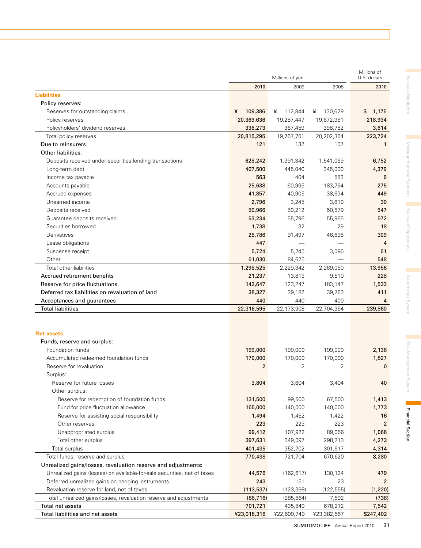|                                                                          |                | Millions of yen |              | Millions of<br>U.S. dollars |
|--------------------------------------------------------------------------|----------------|-----------------|--------------|-----------------------------|
|                                                                          | 2010           | 2009            | 2008         | 2010                        |
| <b>Liabilities</b>                                                       |                |                 |              |                             |
| Policy reserves:                                                         |                |                 |              |                             |
| Reserves for outstanding claims                                          | 109,386<br>¥   | 112,844<br>¥    | 130,629<br>¥ | \$<br>1,175                 |
| Policy reserves                                                          | 20,369,636     | 19,287,447      | 19,672,951   | 218,934                     |
| Policyholders' dividend reserves                                         | 336,273        | 367,459         | 398,782      | 3,614                       |
| Total policy reserves                                                    | 20,815,295     | 19,767,751      | 20,202,364   | 223,724                     |
| Due to reinsurers                                                        | 121            | 132             | 107          | $\mathbf{1}$                |
| Other liabilities:                                                       |                |                 |              |                             |
| Deposits received under securities lending transactions                  | 628,242        | 1,391,342       | 1,541,069    | 6,752                       |
| Long-term debt                                                           | 407,500        | 445,040         | 345,000      | 4,379                       |
| Income tax payable                                                       | 563            | 404             | 583          | 6                           |
| Accounts payable                                                         | 25,638         | 60,995          | 183,794      | 275                         |
| Accrued expenses                                                         | 41,857         | 40,905          | 38,634       | 449                         |
| Unearned income                                                          | 2,796          | 3,245           | 3,610        | 30                          |
| Deposits received                                                        | 50,966         | 50,212          | 50,579       | 547                         |
| Guarantee deposits received                                              | 53,234         | 55,796          | 55,965       | 572                         |
| Securities borrowed                                                      | 1,738          | 32              | 29           | 18                          |
| Derivatives                                                              | 28,786         | 91,497          | 46,696       | 309                         |
| Lease obligations                                                        | 447            |                 |              | 4                           |
| Suspense receipt                                                         | 5,724          | 5,245           | 3,096        | 61                          |
| Other                                                                    | 51,030         | 84,625          |              | 548                         |
| Total other liabilities                                                  | 1,298,525      | 2,229,342       | 2,269,060    | 13,956                      |
| Accrued retirement benefits                                              | 21,237         | 13,813          | 9,510        | 228                         |
| Reserve for price fluctuations                                           | 142,647        | 123,247         | 183,147      | 1,533                       |
| Deferred tax liabilities on revaluation of land                          | 38,327         | 39,182          | 39,763       | 411                         |
| Acceptances and guarantees                                               | 440            | 440             | 400          | 4                           |
| <b>Total liabilities</b>                                                 | 22,316,595     | 22,173,908      | 22,704,354   | 239,860                     |
|                                                                          |                |                 |              |                             |
| <b>Net assets</b>                                                        |                |                 |              |                             |
| Funds, reserve and surplus:                                              |                |                 |              |                             |
| Foundation funds                                                         | 199,000        | 199,000         | 199,000      | 2,138                       |
| Accumulated redeemed foundation funds                                    | 170,000        | 170,000         | 170,000      | 1,827                       |
| Reserve for revaluation                                                  | $\overline{2}$ | 2               | 2            | $\mathbf 0$                 |
| Surplus:                                                                 |                |                 |              |                             |
| Reserve for future losses                                                | 3,804          | 3,604           | 3,404        | 40                          |
| Other surplus:                                                           |                |                 |              |                             |
| Reserve for redemption of foundation funds                               | 131,500        | 99,500          | 67,500       | 1,413                       |
| Fund for price fluctuation allowance                                     | 165,000        | 140,000         | 140,000      | 1,773                       |
| Reserve for assisting social responsibility                              | 1,494          | 1,452           | 1,422        | 16                          |
| Other reserves                                                           | 223            | 223             | 223          | $\overline{2}$              |
| Unappropriated surplus                                                   | 99,412         | 107,922         | 89,066       | 1,068                       |
| Total other surplus                                                      | 397,631        | 349,097         | 298,213      | 4,273                       |
| Total surplus                                                            | 401,435        | 352,702         | 301,617      | 4,314                       |
| Total funds, reserve and surplus                                         | 770,438        | 721,704         | 670,620      | 8,280                       |
| Unrealized gains/losses, revaluation reserve and adjustments:            |                |                 |              |                             |
| Unrealized gains (losses) on available-for-sale securities, net of taxes | 44,576         | (162, 617)      | 130,124      | 479                         |
| Deferred unrealized gains on hedging instruments                         | 243            | 151             | 23           | $\overline{2}$              |
| Revaluation reserve for land, net of taxes                               | (113, 537)     | (123, 398)      | (122, 555)   | (1,220)                     |
| Total unrealized gains/losses, revaluation reserve and adjustments       | (68, 716)      | (285, 864)      | 7,592        | (738)                       |
| Total net assets                                                         | 701,721        | 435,840         | 678,212      | 7,542                       |
| Total liabilities and net assets                                         | ¥23,018,316    | ¥22,609,749     | ¥23,382,567  | \$247,402                   |

Review of Operations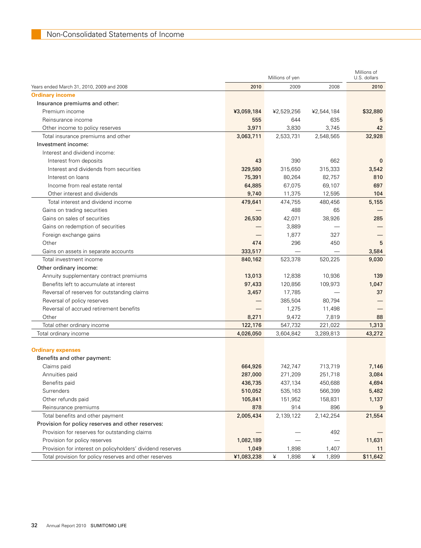|                                                            |            | Millions of yen |            | Millions of<br>U.S. dollars |
|------------------------------------------------------------|------------|-----------------|------------|-----------------------------|
| Years ended March 31, 2010, 2009 and 2008                  | 2010       | 2009            | 2008       | 2010                        |
| <b>Ordinary income</b>                                     |            |                 |            |                             |
| Insurance premiums and other:                              |            |                 |            |                             |
| Premium income                                             | ¥3,059,184 | ¥2,529,256      | ¥2,544,184 | \$32,880                    |
| Reinsurance income                                         | 555        | 644             | 635        | 5                           |
| Other income to policy reserves                            | 3,971      | 3,830           | 3,745      | 42                          |
| Total insurance premiums and other                         | 3,063,711  | 2,533,731       | 2,548,565  | 32,928                      |
| Investment income:                                         |            |                 |            |                             |
| Interest and dividend income:                              |            |                 |            |                             |
| Interest from deposits                                     | 43         | 390             | 662        | 0                           |
| Interest and dividends from securities                     | 329,580    | 315,650         | 315,333    | 3,542                       |
| Interest on loans                                          | 75,391     | 80,264          | 82,757     | 810                         |
| Income from real estate rental                             | 64,885     | 67,075          | 69,107     | 697                         |
| Other interest and dividends                               | 9,740      | 11,375          | 12,595     | 104                         |
| Total interest and dividend income                         | 479,641    | 474,755         | 480,456    | 5,155                       |
| Gains on trading securities                                |            | 488             | 65         |                             |
| Gains on sales of securities                               | 26,530     | 42,071          | 38,926     | 285                         |
| Gains on redemption of securities                          |            | 3,889           |            |                             |
| Foreign exchange gains                                     |            | 1,877           | 327        |                             |
| Other                                                      | 474        | 296             | 450        | 5                           |
| Gains on assets in separate accounts                       | 333,517    |                 |            | 3,584                       |
| Total investment income                                    | 840,162    | 523,378         | 520,225    | 9,030                       |
| Other ordinary income:                                     |            |                 |            |                             |
| Annuity supplementary contract premiums                    | 13,013     | 12,838          | 10,936     | 139                         |
| Benefits left to accumulate at interest                    | 97,433     | 120,856         | 109,973    | 1,047                       |
| Reversal of reserves for outstanding claims                | 3,457      | 17,785          |            | 37                          |
| Reversal of policy reserves                                |            | 385,504         | 80,794     |                             |
| Reversal of accrued retirement benefits                    |            | 1,275           | 11,498     |                             |
| Other                                                      | 8,271      | 9,472           | 7,819      | 88                          |
| Total other ordinary income                                | 122,176    | 547,732         | 221,022    | 1,313                       |
| Total ordinary income                                      | 4,026,050  | 3,604,842       | 3,289,813  | 43,272                      |
|                                                            |            |                 |            |                             |
| <b>Ordinary expenses</b>                                   |            |                 |            |                             |
| Benefits and other payment:                                |            |                 |            |                             |
| Claims paid                                                | 664,926    | 742,747         | 713,719    | 7,146                       |
| Annuities paid                                             | 287,000    | 271,209         | 251,718    | 3,084                       |
| Benefits paid                                              | 436,735    | 437,134         | 450,688    | 4,694                       |
| Surrenders                                                 | 510,052    | 535,163         | 566,399    | 5,482                       |
| Other refunds paid                                         | 105,841    | 151,952         | 158,831    | 1,137                       |
| Reinsurance premiums                                       | 878        | 914             | 896        | 9                           |
| Total benefits and other payment                           | 2,005,434  | 2,139,122       | 2,142,254  | 21,554                      |
| Provision for policy reserves and other reserves:          |            |                 |            |                             |
| Provision for reserves for outstanding claims              |            |                 | 492        |                             |
| Provision for policy reserves                              | 1,082,189  |                 |            | 11,631                      |
| Provision for interest on policyholders' dividend reserves | 1,049      | 1,898           | 1,407      | 11                          |
| Total provision for policy reserves and other reserves     | ¥1,083,238 | ¥<br>1,898      | ¥<br>1,899 | \$11,642                    |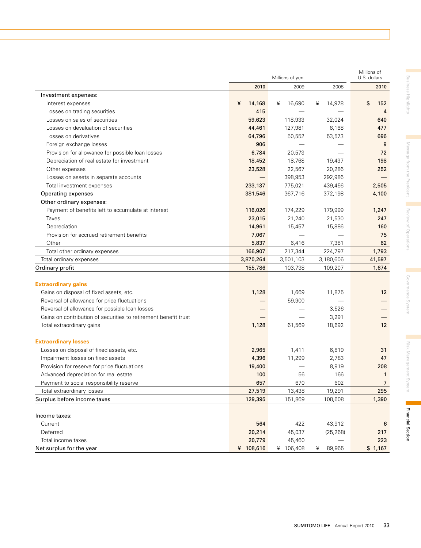| 2010<br>2009<br>2008<br>2010<br>Investment expenses:<br>16,690<br>\$<br>¥<br>14,168<br>¥<br>14,978<br>152<br>Interest expenses<br>¥<br>415<br>Losses on trading securities<br>$\overline{4}$<br>Losses on sales of securities<br>59,623<br>118,933<br>32,024<br>640<br>Losses on devaluation of securities<br>44,461<br>127,981<br>6,168<br>477<br>Losses on derivatives<br>64,796<br>50,552<br>53,573<br>696<br>906<br>Foreign exchange losses<br>9<br>Provision for allowance for possible loan losses<br>6,784<br>20,573<br>72<br>Depreciation of real estate for investment<br>18,452<br>18,768<br>19,437<br>198<br>23,528<br>22,567<br>20,286<br>252<br>Other expenses<br>398,953<br>292,986<br>Losses on assets in separate accounts<br>233,137<br>775,021<br>439,456<br>2,505<br>Total investment expenses |
|-------------------------------------------------------------------------------------------------------------------------------------------------------------------------------------------------------------------------------------------------------------------------------------------------------------------------------------------------------------------------------------------------------------------------------------------------------------------------------------------------------------------------------------------------------------------------------------------------------------------------------------------------------------------------------------------------------------------------------------------------------------------------------------------------------------------|
|                                                                                                                                                                                                                                                                                                                                                                                                                                                                                                                                                                                                                                                                                                                                                                                                                   |
|                                                                                                                                                                                                                                                                                                                                                                                                                                                                                                                                                                                                                                                                                                                                                                                                                   |
|                                                                                                                                                                                                                                                                                                                                                                                                                                                                                                                                                                                                                                                                                                                                                                                                                   |
|                                                                                                                                                                                                                                                                                                                                                                                                                                                                                                                                                                                                                                                                                                                                                                                                                   |
|                                                                                                                                                                                                                                                                                                                                                                                                                                                                                                                                                                                                                                                                                                                                                                                                                   |
|                                                                                                                                                                                                                                                                                                                                                                                                                                                                                                                                                                                                                                                                                                                                                                                                                   |
|                                                                                                                                                                                                                                                                                                                                                                                                                                                                                                                                                                                                                                                                                                                                                                                                                   |
|                                                                                                                                                                                                                                                                                                                                                                                                                                                                                                                                                                                                                                                                                                                                                                                                                   |
|                                                                                                                                                                                                                                                                                                                                                                                                                                                                                                                                                                                                                                                                                                                                                                                                                   |
|                                                                                                                                                                                                                                                                                                                                                                                                                                                                                                                                                                                                                                                                                                                                                                                                                   |
|                                                                                                                                                                                                                                                                                                                                                                                                                                                                                                                                                                                                                                                                                                                                                                                                                   |
|                                                                                                                                                                                                                                                                                                                                                                                                                                                                                                                                                                                                                                                                                                                                                                                                                   |
|                                                                                                                                                                                                                                                                                                                                                                                                                                                                                                                                                                                                                                                                                                                                                                                                                   |
| 381,546<br>367,716<br>372,198<br>4,100<br>Operating expenses                                                                                                                                                                                                                                                                                                                                                                                                                                                                                                                                                                                                                                                                                                                                                      |
| Other ordinary expenses:                                                                                                                                                                                                                                                                                                                                                                                                                                                                                                                                                                                                                                                                                                                                                                                          |
| Payment of benefits left to accumulate at interest<br>116,026<br>174,229<br>179,999<br>1,247                                                                                                                                                                                                                                                                                                                                                                                                                                                                                                                                                                                                                                                                                                                      |
| 23,015<br>Taxes<br>21,240<br>21,530<br>247                                                                                                                                                                                                                                                                                                                                                                                                                                                                                                                                                                                                                                                                                                                                                                        |
| Depreciation<br>14,961<br>15,457<br>15,886<br>160                                                                                                                                                                                                                                                                                                                                                                                                                                                                                                                                                                                                                                                                                                                                                                 |
| Provision for accrued retirement benefits<br>7,067<br>75                                                                                                                                                                                                                                                                                                                                                                                                                                                                                                                                                                                                                                                                                                                                                          |
| 5,837<br>6,416<br>7,381<br>62<br>Other                                                                                                                                                                                                                                                                                                                                                                                                                                                                                                                                                                                                                                                                                                                                                                            |
| Total other ordinary expenses<br>166,907<br>217,344<br>224,797<br>1,793                                                                                                                                                                                                                                                                                                                                                                                                                                                                                                                                                                                                                                                                                                                                           |
| 3,870,264<br>41,597<br>Total ordinary expenses<br>3,501,103<br>3,180,606                                                                                                                                                                                                                                                                                                                                                                                                                                                                                                                                                                                                                                                                                                                                          |
| Ordinary profit<br>155,786<br>103,738<br>109,207<br>1,674                                                                                                                                                                                                                                                                                                                                                                                                                                                                                                                                                                                                                                                                                                                                                         |
|                                                                                                                                                                                                                                                                                                                                                                                                                                                                                                                                                                                                                                                                                                                                                                                                                   |
| <b>Extraordinary gains</b>                                                                                                                                                                                                                                                                                                                                                                                                                                                                                                                                                                                                                                                                                                                                                                                        |
| Gains on disposal of fixed assets, etc.<br>1,128<br>12 <sup>2</sup><br>1,669<br>11,875                                                                                                                                                                                                                                                                                                                                                                                                                                                                                                                                                                                                                                                                                                                            |
| Reversal of allowance for price fluctuations<br>59,900                                                                                                                                                                                                                                                                                                                                                                                                                                                                                                                                                                                                                                                                                                                                                            |
| Reversal of allowance for possible loan losses<br>3,526                                                                                                                                                                                                                                                                                                                                                                                                                                                                                                                                                                                                                                                                                                                                                           |
| Gains on contribution of securities to retirement benefit trust<br>3,291                                                                                                                                                                                                                                                                                                                                                                                                                                                                                                                                                                                                                                                                                                                                          |
| 1,128<br>61,569<br>12<br>Total extraordinary gains<br>18,692                                                                                                                                                                                                                                                                                                                                                                                                                                                                                                                                                                                                                                                                                                                                                      |
|                                                                                                                                                                                                                                                                                                                                                                                                                                                                                                                                                                                                                                                                                                                                                                                                                   |
| <b>Extraordinary losses</b>                                                                                                                                                                                                                                                                                                                                                                                                                                                                                                                                                                                                                                                                                                                                                                                       |
| Losses on disposal of fixed assets, etc.<br>2,965<br>1,411<br>6,819<br>31                                                                                                                                                                                                                                                                                                                                                                                                                                                                                                                                                                                                                                                                                                                                         |
| Impairment losses on fixed assets<br>4,396<br>47<br>11,299<br>2,783                                                                                                                                                                                                                                                                                                                                                                                                                                                                                                                                                                                                                                                                                                                                               |
| Provision for reserve for price fluctuations<br>19,400<br>8,919<br>208                                                                                                                                                                                                                                                                                                                                                                                                                                                                                                                                                                                                                                                                                                                                            |
| Advanced depreciation for real estate<br>100<br>56<br>166<br>$\mathbf{1}$                                                                                                                                                                                                                                                                                                                                                                                                                                                                                                                                                                                                                                                                                                                                         |
| 670<br>657<br>602<br>Payment to social responsibility reserve<br>7                                                                                                                                                                                                                                                                                                                                                                                                                                                                                                                                                                                                                                                                                                                                                |
| 27,519<br>13,438<br>19,291<br>295<br>Total extraordinary losses                                                                                                                                                                                                                                                                                                                                                                                                                                                                                                                                                                                                                                                                                                                                                   |
| Surplus before income taxes<br>129,395<br>151,869<br>108,608<br>1,390                                                                                                                                                                                                                                                                                                                                                                                                                                                                                                                                                                                                                                                                                                                                             |
| Income taxes:                                                                                                                                                                                                                                                                                                                                                                                                                                                                                                                                                                                                                                                                                                                                                                                                     |
| 422<br>Current<br>564<br>43,912<br>6                                                                                                                                                                                                                                                                                                                                                                                                                                                                                                                                                                                                                                                                                                                                                                              |
| Deferred<br>20,214<br>45,037<br>(25, 268)<br>217                                                                                                                                                                                                                                                                                                                                                                                                                                                                                                                                                                                                                                                                                                                                                                  |
| 20,779<br>45,460<br>Total income taxes<br>223                                                                                                                                                                                                                                                                                                                                                                                                                                                                                                                                                                                                                                                                                                                                                                     |
| ¥ 108,616<br>89,965<br>\$1,167<br>Net surplus for the year<br>¥<br>106,408<br>¥                                                                                                                                                                                                                                                                                                                                                                                                                                                                                                                                                                                                                                                                                                                                   |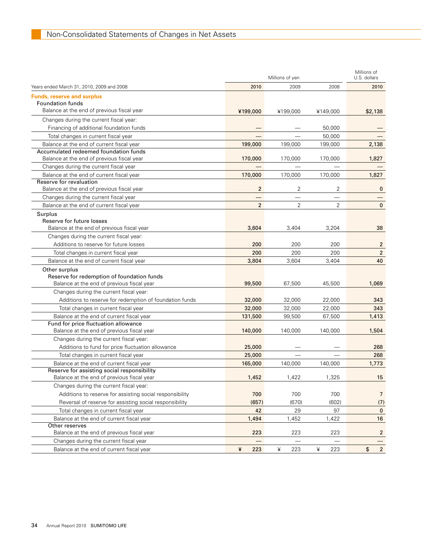|                                                                                   | Millions of yen |          |                | Millions of<br>U.S. dollars |  |
|-----------------------------------------------------------------------------------|-----------------|----------|----------------|-----------------------------|--|
| Years ended March 31, 2010, 2009 and 2008                                         | 2010            | 2009     | 2008           | 2010                        |  |
|                                                                                   |                 |          |                |                             |  |
| <b>Funds, reserve and surplus</b><br><b>Foundation funds</b>                      |                 |          |                |                             |  |
| Balance at the end of previous fiscal year                                        | ¥199,000        | ¥199,000 | ¥149,000       | \$2,138                     |  |
| Changes during the current fiscal year:                                           |                 |          |                |                             |  |
| Financing of additional foundation funds                                          |                 |          | 50,000         |                             |  |
| Total changes in current fiscal year                                              |                 |          | 50,000         |                             |  |
| Balance at the end of current fiscal year                                         | 199,000         | 199,000  | 199,000        | 2,138                       |  |
| Accumulated redeemed foundation funds                                             |                 |          |                |                             |  |
| Balance at the end of previous fiscal year                                        | 170,000         | 170,000  | 170,000        | 1,827                       |  |
| Changes during the current fiscal year                                            |                 |          |                |                             |  |
| Balance at the end of current fiscal year                                         | 170,000         | 170,000  | 170,000        | 1,827                       |  |
| Reserve for revaluation                                                           |                 |          |                |                             |  |
| Balance at the end of previous fiscal year                                        | $\overline{2}$  | 2        | 2              | $\bf{0}$                    |  |
| Changes during the current fiscal year                                            |                 |          |                |                             |  |
| Balance at the end of current fiscal year                                         | $\overline{2}$  | 2        | $\overline{2}$ | $\mathbf{0}$                |  |
| Surplus                                                                           |                 |          |                |                             |  |
| Reserve for future losses                                                         |                 |          |                |                             |  |
| Balance at the end of previous fiscal year                                        | 3,604           | 3,404    | 3,204          | 38                          |  |
| Changes during the current fiscal year:                                           |                 |          |                |                             |  |
| Additions to reserve for future losses                                            | 200             | 200      | 200            | $\overline{2}$              |  |
| Total changes in current fiscal year                                              | 200             | 200      | 200            | $\overline{2}$              |  |
| Balance at the end of current fiscal year                                         | 3,804           | 3.604    | 3,404          | 40                          |  |
| Other surplus                                                                     |                 |          |                |                             |  |
| Reserve for redemption of foundation funds                                        |                 |          |                |                             |  |
| Balance at the end of previous fiscal year                                        | 99,500          | 67,500   | 45,500         | 1,069                       |  |
| Changes during the current fiscal year:                                           |                 |          |                |                             |  |
| Additions to reserve for redemption of foundation funds                           | 32,000          | 32,000   | 22,000         | 343                         |  |
| Total changes in current fiscal year                                              | 32,000          | 32,000   | 22,000         | 343                         |  |
| Balance at the end of current fiscal year<br>Fund for price fluctuation allowance | 131,500         | 99,500   | 67,500         | 1,413                       |  |
| Balance at the end of previous fiscal year                                        | 140,000         | 140,000  | 140,000        | 1,504                       |  |
| Changes during the current fiscal year:                                           |                 |          |                |                             |  |
| Additions to fund for price fluctuation allowance                                 | 25,000          |          |                | 268                         |  |
| Total changes in current fiscal year                                              | 25,000          |          |                | 268                         |  |
| Balance at the end of current fiscal year                                         | 165,000         | 140,000  | 140,000        | 1,773                       |  |
| Reserve for assisting social responsibility                                       |                 |          |                |                             |  |
| Balance at the end of previous fiscal year                                        | 1,452           | 1,422    | 1,325          | 15                          |  |
| Changes during the current fiscal year:                                           |                 |          |                |                             |  |
| Additions to reserve for assisting social responsibility                          | 700             | 700      | 700            | $\overline{7}$              |  |
| Reversal of reserve for assisting social responsibility                           | (657)           | (670)    | (602)          | (7)                         |  |
| Total changes in current fiscal year                                              | 42              | 29       | 97             | $\mathbf{0}$                |  |
| Balance at the end of current fiscal year                                         | 1,494           | 1,452    | 1,422          | 16                          |  |
| Other reserves                                                                    |                 |          |                |                             |  |
| Balance at the end of previous fiscal year                                        | 223             | 223      | 223            | $\overline{2}$              |  |
| Changes during the current fiscal year                                            |                 |          |                |                             |  |
| Balance at the end of current fiscal year                                         | ¥<br>223        | ¥<br>223 | ¥<br>223       | $\overline{2}$<br>\$        |  |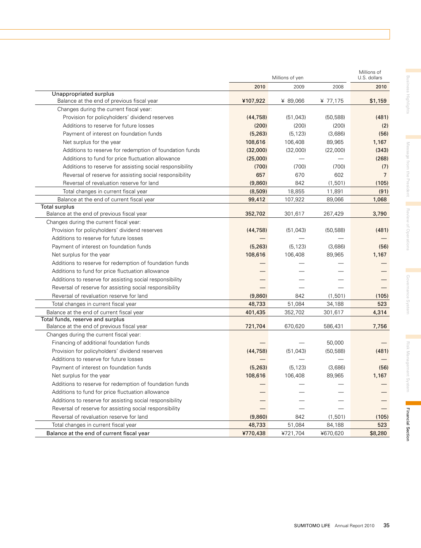|                                                                                |           | Millions of yen |           |                |
|--------------------------------------------------------------------------------|-----------|-----------------|-----------|----------------|
|                                                                                | 2010      | 2009            | 2008      | 2010           |
| Unappropriated surplus                                                         |           |                 |           |                |
| Balance at the end of previous fiscal year                                     | ¥107,922  | ¥ 89,066        | ¥ 77,175  | \$1,159        |
| Changes during the current fiscal year:                                        |           |                 |           |                |
| Provision for policyholders' dividend reserves                                 | (44, 758) | (51, 043)       | (50.588)  | (481)          |
| Additions to reserve for future losses                                         | (200)     | (200)           | (200)     | (2)            |
| Payment of interest on foundation funds                                        | (5, 263)  | (5, 123)        | (3,686)   | (56)           |
| Net surplus for the year                                                       | 108,616   | 106,408         | 89,965    | 1,167          |
| Additions to reserve for redemption of foundation funds                        | (32,000)  | (32,000)        | (22,000)  | (343)          |
| Additions to fund for price fluctuation allowance                              | (25,000)  |                 |           | (268)          |
| Additions to reserve for assisting social responsibility                       | (700)     | (700)           | (700)     | (7)            |
| Reversal of reserve for assisting social responsibility                        | 657       | 670             | 602       | $\overline{7}$ |
| Reversal of revaluation reserve for land                                       | (9,860)   | 842             | (1, 501)  | (105)          |
| Total changes in current fiscal year                                           | (8,509)   | 18,855          | 11,891    | (91)           |
| Balance at the end of current fiscal year                                      | 99,412    | 107,922         | 89,066    | 1,068          |
| Total surplus                                                                  |           |                 |           |                |
| Balance at the end of previous fiscal year                                     | 352,702   | 301,617         | 267,429   | 3,790          |
| Changes during the current fiscal year:                                        |           |                 |           |                |
| Provision for policyholders' dividend reserves                                 | (44, 758) | (51, 043)       | (50, 588) | (481)          |
| Additions to reserve for future losses                                         |           |                 |           |                |
| Payment of interest on foundation funds                                        | (5, 263)  | (5, 123)        | (3,686)   | (56)           |
| Net surplus for the year                                                       | 108,616   | 106,408         | 89,965    | 1,167          |
| Additions to reserve for redemption of foundation funds                        |           |                 |           |                |
| Additions to fund for price fluctuation allowance                              |           |                 |           |                |
| Additions to reserve for assisting social responsibility                       |           |                 |           |                |
| Reversal of reserve for assisting social responsibility                        |           |                 |           |                |
| Reversal of revaluation reserve for land                                       | (9,860)   | 842             | (1, 501)  | (105)          |
| Total changes in current fiscal year                                           | 48,733    | 51,084          | 34,188    | 523            |
| Balance at the end of current fiscal year                                      | 401,435   | 352,702         | 301,617   | 4,314          |
| Total funds, reserve and surplus<br>Balance at the end of previous fiscal year | 721,704   | 670,620         | 586,431   | 7,756          |
| Changes during the current fiscal year:                                        |           |                 |           |                |
| Financing of additional foundation funds                                       |           |                 | 50,000    |                |
| Provision for policyholders' dividend reserves                                 | (44, 758) | (51, 043)       | (50, 588) | (481)          |
| Additions to reserve for future losses                                         |           |                 |           |                |
| Payment of interest on foundation funds                                        | (5, 263)  | (5, 123)        | (3,686)   | (56)           |
| Net surplus for the year                                                       | 108,616   | 106,408         | 89,965    | 1,167          |
| Additions to reserve for redemption of foundation funds                        |           |                 |           |                |
| Additions to fund for price fluctuation allowance                              |           |                 |           |                |
| Additions to reserve for assisting social responsibility                       |           |                 |           |                |
| Reversal of reserve for assisting social responsibility                        |           |                 |           |                |
| Reversal of revaluation reserve for land                                       | (9,860)   | 842             | (1, 501)  | (105)          |
| Total changes in current fiscal year                                           | 48,733    | 51,084          | 84,188    | 523            |
| Balance at the end of current fiscal year                                      | ¥770,438  | ¥721,704        | ¥670,620  | \$8,280        |
|                                                                                |           |                 |           |                |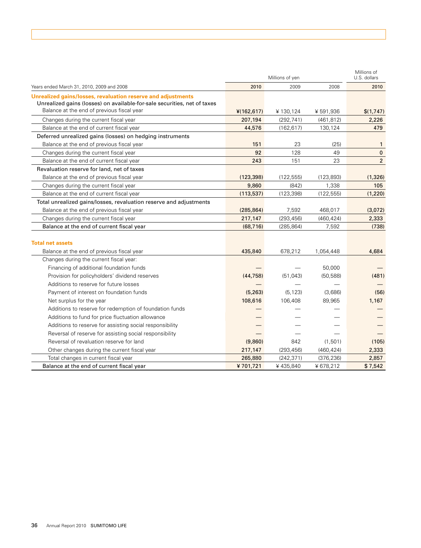|                                                                                                                                                                                        | Millions of yen |            |            | Millions of<br>U.S. dollars |  |
|----------------------------------------------------------------------------------------------------------------------------------------------------------------------------------------|-----------------|------------|------------|-----------------------------|--|
| Years ended March 31, 2010, 2009 and 2008                                                                                                                                              | 2010            | 2009       | 2008       | 2010                        |  |
| Unrealized gains/losses, revaluation reserve and adjustments<br>Unrealized gains (losses) on available-for-sale securities, net of taxes<br>Balance at the end of previous fiscal year | 4(162, 617)     | ¥130,124   | ¥591,936   | \$(1,747)                   |  |
| Changes during the current fiscal year                                                                                                                                                 | 207,194         | (292, 741) | (461, 812) | 2,226                       |  |
| Balance at the end of current fiscal year                                                                                                                                              | 44,576          | (162, 617) | 130,124    | 479                         |  |
| Deferred unrealized gains (losses) on hedging instruments                                                                                                                              |                 |            |            |                             |  |
| Balance at the end of previous fiscal year                                                                                                                                             | 151             | 23         | (25)       | $\mathbf{1}$                |  |
| Changes during the current fiscal year                                                                                                                                                 | 92              | 128        | 49         | $\mathbf{0}$                |  |
| Balance at the end of current fiscal year                                                                                                                                              | 243             | 151        | 23         | $\overline{2}$              |  |
| Revaluation reserve for land, net of taxes                                                                                                                                             |                 |            |            |                             |  |
| Balance at the end of previous fiscal year                                                                                                                                             | (123, 398)      | (122, 555) | (123, 893) | (1, 326)                    |  |
| Changes during the current fiscal year                                                                                                                                                 | 9,860           | (842)      | 1,338      | 105                         |  |
| Balance at the end of current fiscal year                                                                                                                                              | (113, 537)      | (123, 398) | (122, 555) | (1,220)                     |  |
| Total unrealized gains/losses, revaluation reserve and adjustments                                                                                                                     |                 |            |            |                             |  |
| Balance at the end of previous fiscal year                                                                                                                                             | (285, 864)      | 7,592      | 468,017    | (3,072)                     |  |
| Changes during the current fiscal year                                                                                                                                                 | 217,147         | (293, 456) | (460, 424) | 2,333                       |  |
| Balance at the end of current fiscal year                                                                                                                                              | (68, 716)       | (285, 864) | 7,592      | (738)                       |  |
| <b>Total net assets</b>                                                                                                                                                                |                 |            |            |                             |  |
| Balance at the end of previous fiscal year                                                                                                                                             | 435,840         | 678,212    | 1,054,448  | 4,684                       |  |
| Changes during the current fiscal year:                                                                                                                                                |                 |            |            |                             |  |
| Financing of additional foundation funds                                                                                                                                               |                 |            | 50,000     |                             |  |
| Provision for policyholders' dividend reserves                                                                                                                                         | (44, 758)       | (51, 043)  | (50, 588)  | (481)                       |  |
| Additions to reserve for future losses                                                                                                                                                 |                 |            |            |                             |  |
| Payment of interest on foundation funds                                                                                                                                                | (5, 263)        | (5, 123)   | (3,686)    | (56)                        |  |
| Net surplus for the year                                                                                                                                                               | 108,616         | 106,408    | 89,965     | 1,167                       |  |
| Additions to reserve for redemption of foundation funds                                                                                                                                |                 |            |            |                             |  |
| Additions to fund for price fluctuation allowance                                                                                                                                      |                 |            |            |                             |  |
| Additions to reserve for assisting social responsibility                                                                                                                               |                 |            |            |                             |  |
| Reversal of reserve for assisting social responsibility                                                                                                                                |                 |            |            |                             |  |
| Reversal of revaluation reserve for land                                                                                                                                               | (9,860)         | 842        | (1,501)    | (105)                       |  |
| Other changes during the current fiscal year                                                                                                                                           | 217,147         | (293, 456) | (460, 424) | 2,333                       |  |
| Total changes in current fiscal year                                                                                                                                                   | 265,880         | (242, 371) | (376, 236) | 2,857                       |  |
| Balance at the end of current fiscal year                                                                                                                                              | ¥701,721        | ¥435,840   | ¥678,212   | \$7,542                     |  |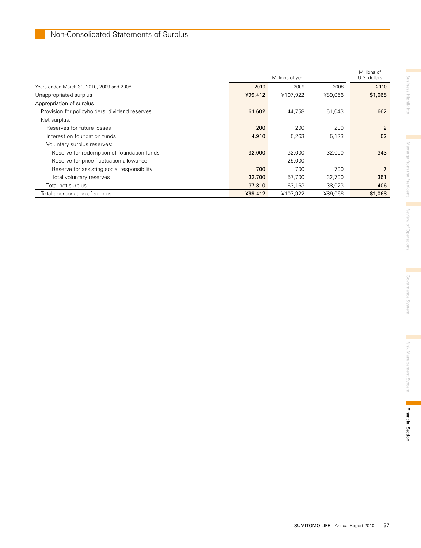|                                                | Millions of yen |          |         | Millions of<br>U.S. dollars |  |
|------------------------------------------------|-----------------|----------|---------|-----------------------------|--|
| Years ended March 31, 2010, 2009 and 2008      | 2010            | 2009     | 2008    | 2010                        |  |
| Unappropriated surplus                         | ¥99,412         | ¥107,922 | ¥89,066 | \$1,068                     |  |
| Appropriation of surplus                       |                 |          |         |                             |  |
| Provision for policyholders' dividend reserves | 61,602          | 44.758   | 51,043  | 662                         |  |
| Net surplus:                                   |                 |          |         |                             |  |
| Reserves for future losses                     | 200             | 200      | 200     | $\overline{2}$              |  |
| Interest on foundation funds                   | 4,910           | 5,263    | 5,123   | 52                          |  |
| Voluntary surplus reserves:                    |                 |          |         |                             |  |
| Reserve for redemption of foundation funds     | 32,000          | 32,000   | 32,000  | 343                         |  |
| Reserve for price fluctuation allowance        |                 | 25,000   |         |                             |  |
| Reserve for assisting social responsibility    | 700             | 700      | 700     | 7                           |  |
| Total voluntary reserves                       | 32,700          | 57,700   | 32,700  | 351                         |  |
| Total net surplus                              | 37,810          | 63,163   | 38,023  | 406                         |  |
| Total appropriation of surplus                 | ¥99,412         | ¥107,922 | ¥89.066 | \$1,068                     |  |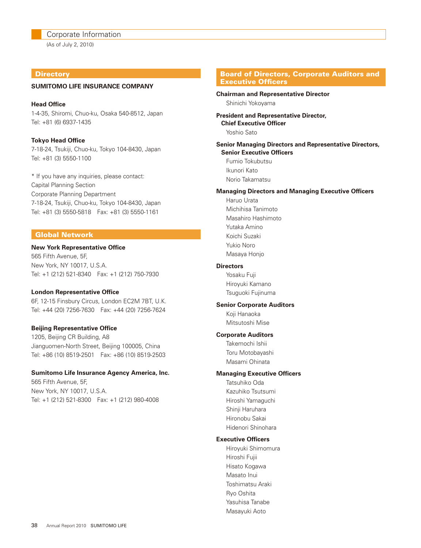#### Corporate Information

(As of July 2, 2010)

#### **Directory**

#### **SUMITOMO LIFE INSURANCE COMPANY**

**Head Office** 1-4-35, Shiromi, Chuo-ku, Osaka 540-8512, Japan Tel: +81 (6) 6937-1435

**Tokyo Head Office** 7-18-24, Tsukiji, Chuo-ku, Tokyo 104-8430, Japan Tel: +81 (3) 5550-1100

\* If you have any inquiries, please contact: Capital Planning Section Corporate Planning Department 7-18-24, Tsukiji, Chuo-ku, Tokyo 104-8430, Japan Tel: +81 (3) 5550-5818 Fax: +81 (3) 5550-1161

#### Global Network

#### **New York Representative Office**

565 Fifth Avenue, 5F, New York, NY 10017, U.S.A. Tel: +1 (212) 521-8340 Fax: +1 (212) 750-7930

#### **London Representative Office**

6F, 12-15 Finsbury Circus, London EC2M 7BT, U.K. Tel: +44 (20) 7256-7630 Fax: +44 (20) 7256-7624

#### **Beijing Representative Office**

1205, Beijing CR Building, A8 Jianguomen-North Street, Beijing 100005, China Tel: +86 (10) 8519-2501 Fax: +86 (10) 8519-2503

#### **Sumitomo Life Insurance Agency America, Inc.**

565 Fifth Avenue, 5F, New York, NY 10017, U.S.A. Tel: +1 (212) 521-8300 Fax: +1 (212) 980-4008

#### Board of Directors, Corporate Auditors and Executive Officers

#### **Chairman and Representative Director** Shinichi Yokoyama

**President and Representative Director, Chief Executive Officer** Yoshio Sato

**Senior Managing Directors and Representative Directors, Senior Executive Officers**

 Fumio Tokubutsu Ikunori Kato Norio Takamatsu

#### **Managing Directors and Managing Executive Officers**

 Haruo Urata Michihisa Tanimoto Masahiro Hashimoto Yutaka Amino Koichi Suzaki Yukio Noro Masaya Honjo

#### **Directors**

 Yosaku Fuji Hiroyuki Kamano Tsuguoki Fujinuma

#### **Senior Corporate Auditors**

 Koji Hanaoka Mitsutoshi Mise

#### **Corporate Auditors**

 Takemochi Ishii Toru Motobayashi Masami Ohinata

#### **Managing Executive Officers**

 Tatsuhiko Oda Kazuhiko Tsutsumi Hiroshi Yamaguchi Shinji Haruhara Hironobu Sakai Hidenori Shinohara

#### **Executive Officers**

 Hiroyuki Shimomura Hiroshi Fujii Hisato Kogawa Masato Inui Toshimatsu Araki Ryo Oshita Yasuhisa Tanabe Masayuki Aoto